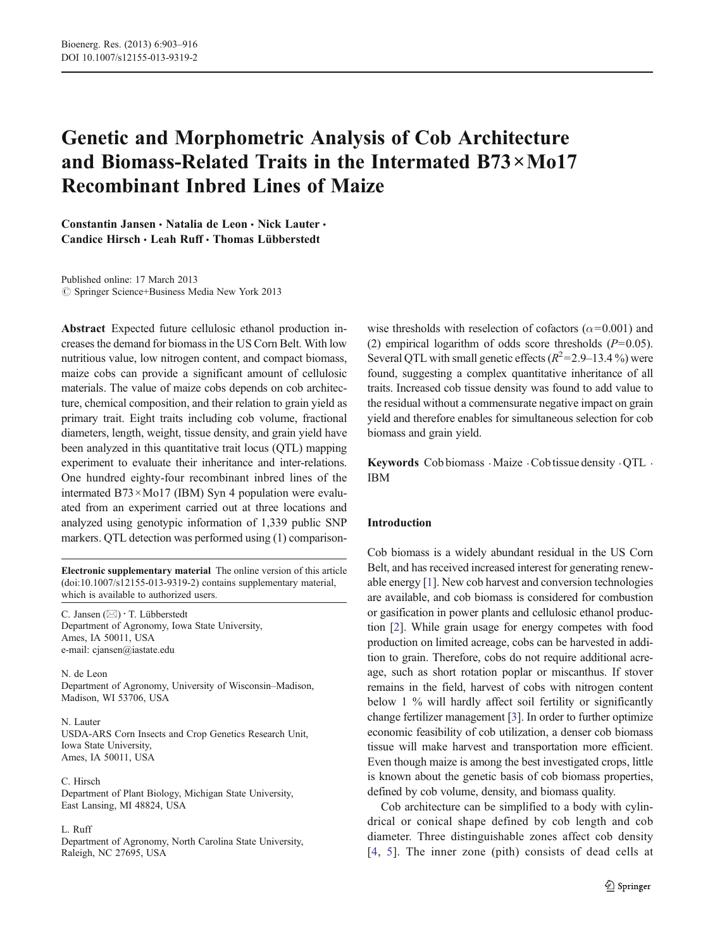# Genetic and Morphometric Analysis of Cob Architecture and Biomass-Related Traits in the Intermated B73×Mo17 Recombinant Inbred Lines of Maize

Constantin Jansen • Natalia de Leon • Nick Lauter •  $C$ andice Hirsch  $\cdot$  Leah Ruff  $\cdot$  Thomas Lübberstedt

Published online: 17 March 2013 © Springer Science+Business Media New York 2013

Abstract Expected future cellulosic ethanol production increases the demand for biomass in the US Corn Belt. With low nutritious value, low nitrogen content, and compact biomass, maize cobs can provide a significant amount of cellulosic materials. The value of maize cobs depends on cob architecture, chemical composition, and their relation to grain yield as primary trait. Eight traits including cob volume, fractional diameters, length, weight, tissue density, and grain yield have been analyzed in this quantitative trait locus (QTL) mapping experiment to evaluate their inheritance and inter-relations. One hundred eighty-four recombinant inbred lines of the intermated  $B73 \times Mo17$  (IBM) Syn 4 population were evaluated from an experiment carried out at three locations and analyzed using genotypic information of 1,339 public SNP markers. QTL detection was performed using (1) comparison-

Electronic supplementary material The online version of this article (doi:[10.1007/s12155-013-9319-2](http://dx.doi.org/10.1007/s12155-013-9319-2)) contains supplementary material, which is available to authorized users.

C. Jansen (⊠) · T. Lübberstedt Department of Agronomy, Iowa State University, Ames, IA 50011, USA e-mail: cjansen@iastate.edu

N. de Leon Department of Agronomy, University of Wisconsin–Madison, Madison, WI 53706, USA

N. Lauter USDA-ARS Corn Insects and Crop Genetics Research Unit, Iowa State University, Ames, IA 50011, USA

C. Hirsch Department of Plant Biology, Michigan State University, East Lansing, MI 48824, USA

#### L. Ruff

Department of Agronomy, North Carolina State University, Raleigh, NC 27695, USA

wise thresholds with reselection of cofactors ( $\alpha$ =0.001) and (2) empirical logarithm of odds score thresholds  $(P=0.05)$ . Several QTL with small genetic effects  $(R^2=2.9-13.4\%)$  were found, suggesting a complex quantitative inheritance of all traits. Increased cob tissue density was found to add value to the residual without a commensurate negative impact on grain yield and therefore enables for simultaneous selection for cob biomass and grain yield.

Keywords Cob biomass . Maize . Cob tissue density . QTL . IBM

# Introduction

Cob biomass is a widely abundant residual in the US Corn Belt, and has received increased interest for generating renewable energy [[1\]](#page-12-0). New cob harvest and conversion technologies are available, and cob biomass is considered for combustion or gasification in power plants and cellulosic ethanol production [\[2](#page-12-0)]. While grain usage for energy competes with food production on limited acreage, cobs can be harvested in addition to grain. Therefore, cobs do not require additional acreage, such as short rotation poplar or miscanthus. If stover remains in the field, harvest of cobs with nitrogen content below 1 % will hardly affect soil fertility or significantly change fertilizer management [\[3\]](#page-12-0). In order to further optimize economic feasibility of cob utilization, a denser cob biomass tissue will make harvest and transportation more efficient. Even though maize is among the best investigated crops, little is known about the genetic basis of cob biomass properties, defined by cob volume, density, and biomass quality.

Cob architecture can be simplified to a body with cylindrical or conical shape defined by cob length and cob diameter. Three distinguishable zones affect cob density [[4,](#page-12-0) [5](#page-12-0)]. The inner zone (pith) consists of dead cells at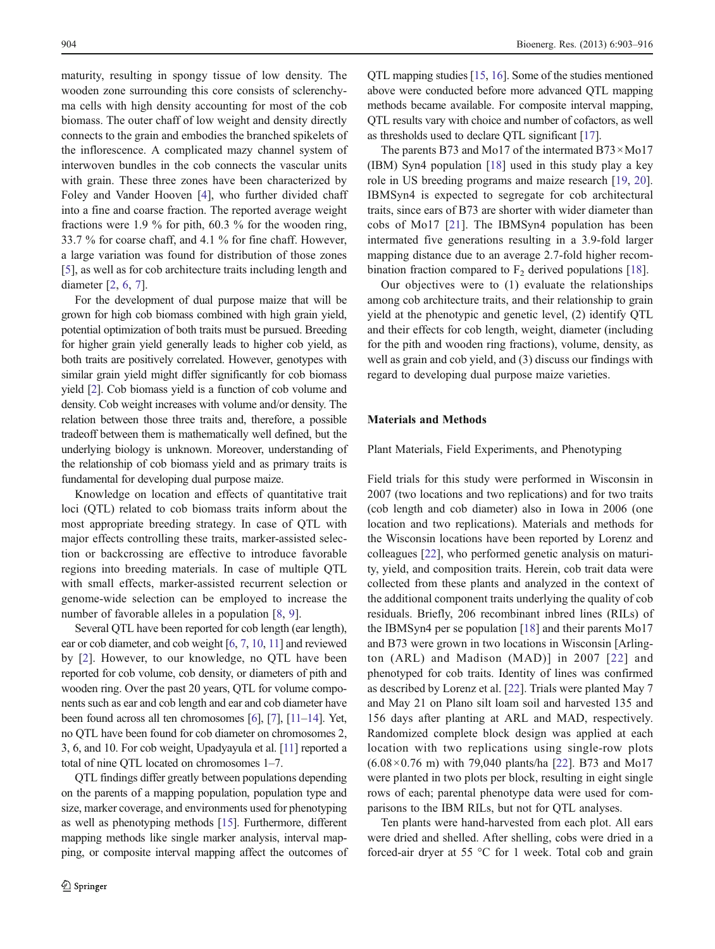maturity, resulting in spongy tissue of low density. The wooden zone surrounding this core consists of sclerenchyma cells with high density accounting for most of the cob biomass. The outer chaff of low weight and density directly connects to the grain and embodies the branched spikelets of the inflorescence. A complicated mazy channel system of interwoven bundles in the cob connects the vascular units with grain. These three zones have been characterized by Foley and Vander Hooven [[4\]](#page-12-0), who further divided chaff into a fine and coarse fraction. The reported average weight fractions were 1.9 % for pith, 60.3 % for the wooden ring, 33.7 % for coarse chaff, and 4.1 % for fine chaff. However, a large variation was found for distribution of those zones [\[5](#page-12-0)], as well as for cob architecture traits including length and diameter [[2,](#page-12-0) [6](#page-12-0), [7\]](#page-12-0).

For the development of dual purpose maize that will be grown for high cob biomass combined with high grain yield, potential optimization of both traits must be pursued. Breeding for higher grain yield generally leads to higher cob yield, as both traits are positively correlated. However, genotypes with similar grain yield might differ significantly for cob biomass yield [\[2\]](#page-12-0). Cob biomass yield is a function of cob volume and density. Cob weight increases with volume and/or density. The relation between those three traits and, therefore, a possible tradeoff between them is mathematically well defined, but the underlying biology is unknown. Moreover, understanding of the relationship of cob biomass yield and as primary traits is fundamental for developing dual purpose maize.

Knowledge on location and effects of quantitative trait loci (QTL) related to cob biomass traits inform about the most appropriate breeding strategy. In case of QTL with major effects controlling these traits, marker-assisted selection or backcrossing are effective to introduce favorable regions into breeding materials. In case of multiple QTL with small effects, marker-assisted recurrent selection or genome-wide selection can be employed to increase the number of favorable alleles in a population [\[8](#page-12-0), [9\]](#page-12-0).

Several QTL have been reported for cob length (ear length), ear or cob diameter, and cob weight [\[6,](#page-12-0) [7](#page-12-0), [10](#page-12-0), [11](#page-12-0)] and reviewed by [[2\]](#page-12-0). However, to our knowledge, no QTL have been reported for cob volume, cob density, or diameters of pith and wooden ring. Over the past 20 years, QTL for volume components such as ear and cob length and ear and cob diameter have been found across all ten chromosomes [\[6](#page-12-0)], [[7](#page-12-0)], [[11](#page-12-0)–[14\]](#page-12-0). Yet, no QTL have been found for cob diameter on chromosomes 2, 3, 6, and 10. For cob weight, Upadyayula et al. [\[11](#page-12-0)] reported a total of nine QTL located on chromosomes 1–7.

QTL findings differ greatly between populations depending on the parents of a mapping population, population type and size, marker coverage, and environments used for phenotyping as well as phenotyping methods [\[15](#page-12-0)]. Furthermore, different mapping methods like single marker analysis, interval mapping, or composite interval mapping affect the outcomes of QTL mapping studies [\[15,](#page-12-0) [16\]](#page-12-0). Some of the studies mentioned above were conducted before more advanced QTL mapping methods became available. For composite interval mapping, QTL results vary with choice and number of cofactors, as well as thresholds used to declare QTL significant [\[17\]](#page-12-0).

The parents B73 and Mo17 of the intermated B73×Mo17 (IBM) Syn4 population [\[18](#page-12-0)] used in this study play a key role in US breeding programs and maize research [[19,](#page-12-0) [20\]](#page-12-0). IBMSyn4 is expected to segregate for cob architectural traits, since ears of B73 are shorter with wider diameter than cobs of Mo17 [\[21](#page-12-0)]. The IBMSyn4 population has been intermated five generations resulting in a 3.9-fold larger mapping distance due to an average 2.7-fold higher recombination fraction compared to  $F<sub>2</sub>$  derived populations [\[18](#page-12-0)].

Our objectives were to (1) evaluate the relationships among cob architecture traits, and their relationship to grain yield at the phenotypic and genetic level, (2) identify QTL and their effects for cob length, weight, diameter (including for the pith and wooden ring fractions), volume, density, as well as grain and cob yield, and (3) discuss our findings with regard to developing dual purpose maize varieties.

#### Materials and Methods

Plant Materials, Field Experiments, and Phenotyping

Field trials for this study were performed in Wisconsin in 2007 (two locations and two replications) and for two traits (cob length and cob diameter) also in Iowa in 2006 (one location and two replications). Materials and methods for the Wisconsin locations have been reported by Lorenz and colleagues [[22\]](#page-12-0), who performed genetic analysis on maturity, yield, and composition traits. Herein, cob trait data were collected from these plants and analyzed in the context of the additional component traits underlying the quality of cob residuals. Briefly, 206 recombinant inbred lines (RILs) of the IBMSyn4 per se population [\[18](#page-12-0)] and their parents Mo17 and B73 were grown in two locations in Wisconsin [Arlington (ARL) and Madison (MAD)] in 2007 [[22](#page-12-0)] and phenotyped for cob traits. Identity of lines was confirmed as described by Lorenz et al. [\[22](#page-12-0)]. Trials were planted May 7 and May 21 on Plano silt loam soil and harvested 135 and 156 days after planting at ARL and MAD, respectively. Randomized complete block design was applied at each location with two replications using single-row plots (6.08×0.76 m) with 79,040 plants/ha [[22](#page-12-0)]. B73 and Mo17 were planted in two plots per block, resulting in eight single rows of each; parental phenotype data were used for comparisons to the IBM RILs, but not for QTL analyses.

Ten plants were hand-harvested from each plot. All ears were dried and shelled. After shelling, cobs were dried in a forced-air dryer at 55 °C for 1 week. Total cob and grain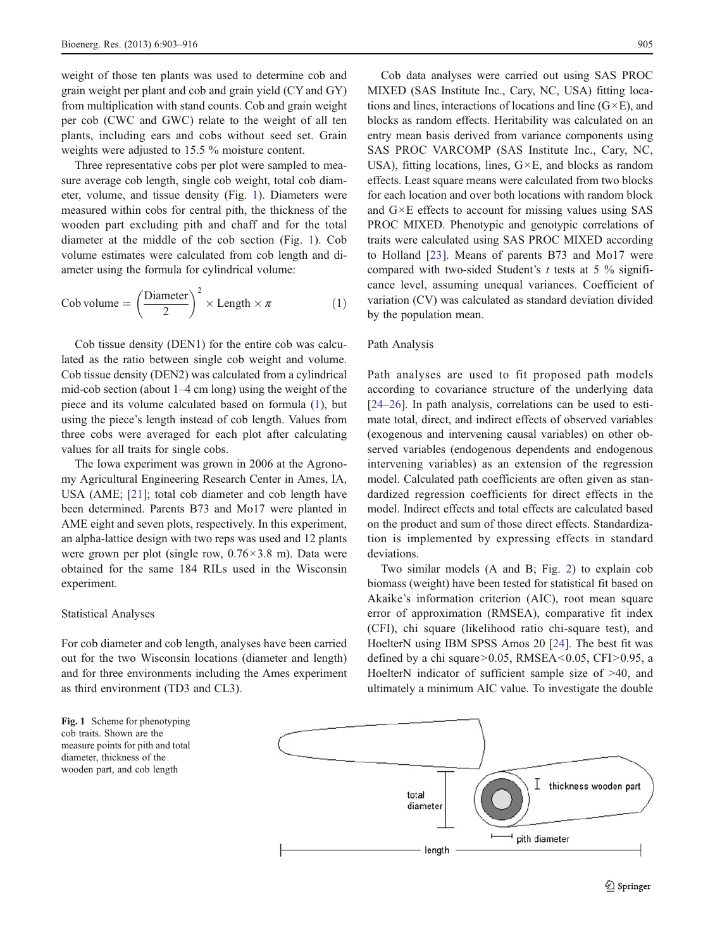weight of those ten plants was used to determine cob and grain weight per plant and cob and grain yield (CY and GY) from multiplication with stand counts. Cob and grain weight per cob (CWC and GWC) relate to the weight of all ten plants, including ears and cobs without seed set. Grain weights were adjusted to 15.5 % moisture content.

Three representative cobs per plot were sampled to measure average cob length, single cob weight, total cob diameter, volume, and tissue density (Fig. 1). Diameters were measured within cobs for central pith, the thickness of the wooden part excluding pith and chaff and for the total diameter at the middle of the cob section (Fig. 1). Cob volume estimates were calculated from cob length and diameter using the formula for cylindrical volume:

Cob volume = 
$$
\left(\frac{\text{Diameter}}{2}\right)^2 \times \text{Length} \times \pi
$$
 (1)

Cob tissue density (DEN1) for the entire cob was calculated as the ratio between single cob weight and volume. Cob tissue density (DEN2) was calculated from a cylindrical mid-cob section (about 1–4 cm long) using the weight of the piece and its volume calculated based on formula (1), but using the piece's length instead of cob length. Values from three cobs were averaged for each plot after calculating values for all traits for single cobs.

The Iowa experiment was grown in 2006 at the Agronomy Agricultural Engineering Research Center in Ames, IA, USA (AME; [\[21](#page-12-0)]; total cob diameter and cob length have been determined. Parents B73 and Mo17 were planted in AME eight and seven plots, respectively. In this experiment, an alpha-lattice design with two reps was used and 12 plants were grown per plot (single row,  $0.76 \times 3.8$  m). Data were obtained for the same 184 RILs used in the Wisconsin experiment.

## Statistical Analyses

For cob diameter and cob length, analyses have been carried out for the two Wisconsin locations (diameter and length) and for three environments including the Ames experiment as third environment (TD3 and CL3).

Fig. 1 Scheme for phenotyping cob traits. Shown are the measure points for pith and total diameter, thickness of the wooden part, and cob length

Cob data analyses were carried out using SAS PROC MIXED (SAS Institute Inc., Cary, NC, USA) fitting locations and lines, interactions of locations and line  $(G \times E)$ , and blocks as random effects. Heritability was calculated on an entry mean basis derived from variance components using SAS PROC VARCOMP (SAS Institute Inc., Cary, NC, USA), fitting locations, lines,  $G \times E$ , and blocks as random effects. Least square means were calculated from two blocks for each location and over both locations with random block and G×E effects to account for missing values using SAS PROC MIXED. Phenotypic and genotypic correlations of traits were calculated using SAS PROC MIXED according to Holland [\[23\]](#page-12-0). Means of parents B73 and Mo17 were compared with two-sided Student's  $t$  tests at 5 % significance level, assuming unequal variances. Coefficient of variation (CV) was calculated as standard deviation divided by the population mean.

## Path Analysis

Path analyses are used to fit proposed path models according to covariance structure of the underlying data [\[24](#page-12-0)–[26](#page-12-0)]. In path analysis, correlations can be used to estimate total, direct, and indirect effects of observed variables (exogenous and intervening causal variables) on other observed variables (endogenous dependents and endogenous intervening variables) as an extension of the regression model. Calculated path coefficients are often given as standardized regression coefficients for direct effects in the model. Indirect effects and total effects are calculated based on the product and sum of those direct effects. Standardization is implemented by expressing effects in standard deviations.

Two similar models (A and B; Fig. [2\)](#page-3-0) to explain cob biomass (weight) have been tested for statistical fit based on Akaike's information criterion (AIC), root mean square error of approximation (RMSEA), comparative fit index (CFI), chi square (likelihood ratio chi-square test), and HoelterN using IBM SPSS Amos 20 [[24\]](#page-12-0). The best fit was defined by a chi square  $> 0.05$ , RMSEA  $< 0.05$ , CFI $> 0.95$ , a HoelterN indicator of sufficient sample size of >40, and ultimately a minimum AIC value. To investigate the double

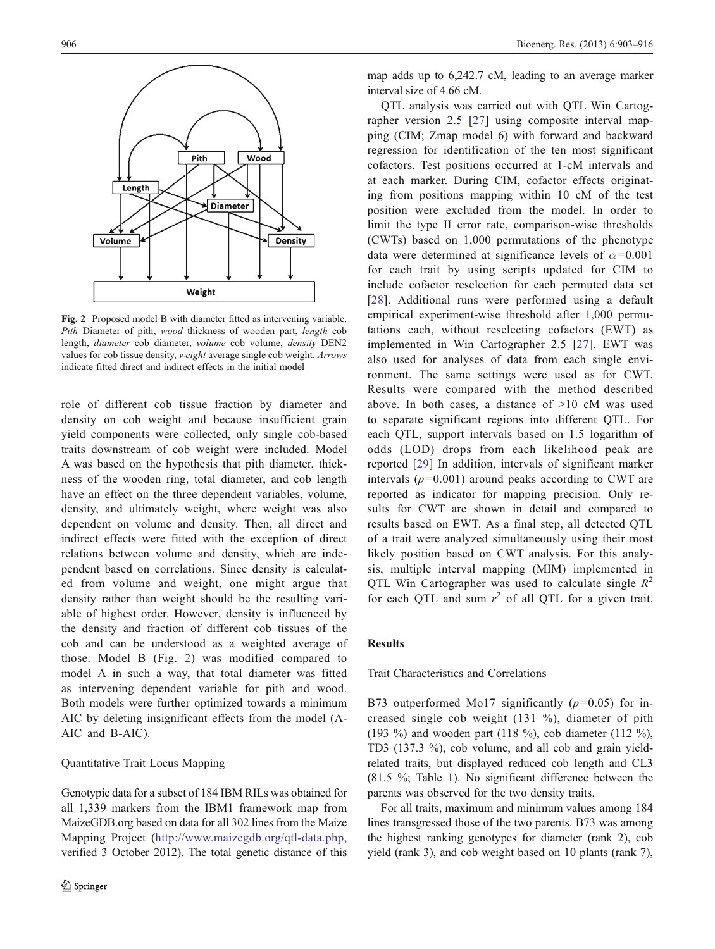<span id="page-3-0"></span>

Fig. 2 Proposed model B with diameter fitted as intervening variable. Pith Diameter of pith, wood thickness of wooden part, length cob length, diameter cob diameter, volume cob volume, density DEN2 values for cob tissue density, weight average single cob weight. Arrows indicate fitted direct and indirect effects in the initial model

role of different cob tissue fraction by diameter and density on cob weight and because insufficient grain yield components were collected, only single cob-based traits downstream of cob weight were included. Model A was based on the hypothesis that pith diameter, thickness of the wooden ring, total diameter, and cob length have an effect on the three dependent variables, volume, density, and ultimately weight, where weight was also dependent on volume and density. Then, all direct and indirect effects were fitted with the exception of direct relations between volume and density, which are independent based on correlations. Since density is calculated from volume and weight, one might argue that density rather than weight should be the resulting variable of highest order. However, density is influenced by the density and fraction of different cob tissues of the cob and can be understood as a weighted average of those. Model B (Fig. 2) was modified compared to model A in such a way, that total diameter was fitted as intervening dependent variable for pith and wood. Both models were further optimized towards a minimum AIC by deleting insignificant effects from the model (A-AIC and B-AIC).

## Quantitative Trait Locus Mapping

Genotypic data for a subset of 184 IBM RILs was obtained for all 1,339 markers from the IBM1 framework map from MaizeGDB.org based on data for all 302 lines from the Maize Mapping Project [\(http://www.maizegdb.org/qtl-data.php,](http://www.maizegdb.org/qtl-data.php) verified 3 October 2012). The total genetic distance of this

map adds up to 6,242.7 cM, leading to an average marker interval size of 4.66 cM.

QTL analysis was carried out with QTL Win Cartographer version 2.5 [[27](#page-12-0)] using composite interval mapping (CIM; Zmap model 6) with forward and backward regression for identification of the ten most significant cofactors. Test positions occurred at 1-cM intervals and at each marker. During CIM, cofactor effects originating from positions mapping within 10 cM of the test position were excluded from the model. In order to limit the type II error rate, comparison-wise thresholds (CWTs) based on 1,000 permutations of the phenotype data were determined at significance levels of  $\alpha$ =0.001 for each trait by using scripts updated for CIM to include cofactor reselection for each permuted data set [\[28\]](#page-12-0). Additional runs were performed using a default empirical experiment-wise threshold after 1,000 permutations each, without reselecting cofactors (EWT) as implemented in Win Cartographer 2.5 [[27\]](#page-12-0). EWT was also used for analyses of data from each single environment. The same settings were used as for CWT. Results were compared with the method described above. In both cases, a distance of >10 cM was used to separate significant regions into different QTL. For each QTL, support intervals based on 1.5 logarithm of odds (LOD) drops from each likelihood peak are reported [\[29\]](#page-12-0) In addition, intervals of significant marker intervals  $(p=0.001)$  around peaks according to CWT are reported as indicator for mapping precision. Only results for CWT are shown in detail and compared to results based on EWT. As a final step, all detected QTL of a trait were analyzed simultaneously using their most likely position based on CWT analysis. For this analysis, multiple interval mapping (MIM) implemented in QTL Win Cartographer was used to calculate single  $R^2$ for each QTL and sum  $r^2$  of all QTL for a given trait.

### Results

Trait Characteristics and Correlations

B73 outperformed Mo17 significantly  $(p=0.05)$  for increased single cob weight (131 %), diameter of pith (193 %) and wooden part (118 %), cob diameter (112 %), TD3 (137.3 %), cob volume, and all cob and grain yieldrelated traits, but displayed reduced cob length and CL3 (81.5 %; Table [1\)](#page-4-0). No significant difference between the parents was observed for the two density traits.

For all traits, maximum and minimum values among 184 lines transgressed those of the two parents. B73 was among the highest ranking genotypes for diameter (rank 2), cob yield (rank 3), and cob weight based on 10 plants (rank 7),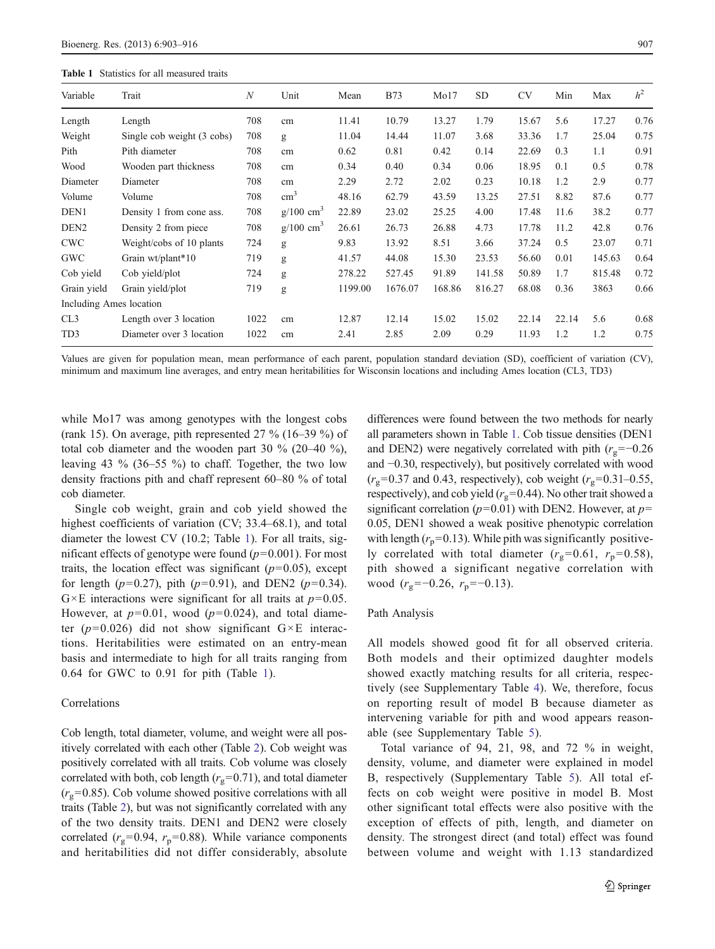<span id="page-4-0"></span>Table 1 Statistics for all measured traits

| Variable                | Trait                      | $\boldsymbol{N}$ | Unit                    | Mean    | <b>B73</b> | Mo17   | SD     | <b>CV</b> | Min   | Max    | h <sup>2</sup> |
|-------------------------|----------------------------|------------------|-------------------------|---------|------------|--------|--------|-----------|-------|--------|----------------|
| Length                  | Length                     | 708              | cm                      | 11.41   | 10.79      | 13.27  | 1.79   | 15.67     | 5.6   | 17.27  | 0.76           |
| Weight                  | Single cob weight (3 cobs) | 708              | g                       | 11.04   | 14.44      | 11.07  | 3.68   | 33.36     | 1.7   | 25.04  | 0.75           |
| Pith                    | Pith diameter              | 708              | cm                      | 0.62    | 0.81       | 0.42   | 0.14   | 22.69     | 0.3   | 1.1    | 0.91           |
| Wood                    | Wooden part thickness      | 708              | cm                      | 0.34    | 0.40       | 0.34   | 0.06   | 18.95     | 0.1   | 0.5    | 0.78           |
| Diameter                | Diameter                   | 708              | cm                      | 2.29    | 2.72       | 2.02   | 0.23   | 10.18     | 1.2   | 2.9    | 0.77           |
| Volume                  | Volume                     | 708              | $\text{cm}^3$           | 48.16   | 62.79      | 43.59  | 13.25  | 27.51     | 8.82  | 87.6   | 0.77           |
| DEN <sub>1</sub>        | Density 1 from cone ass.   | 708              | $g/100$ cm <sup>3</sup> | 22.89   | 23.02      | 25.25  | 4.00   | 17.48     | 11.6  | 38.2   | 0.77           |
| DEN <sub>2</sub>        | Density 2 from piece       | 708              | $g/100$ cm <sup>3</sup> | 26.61   | 26.73      | 26.88  | 4.73   | 17.78     | 11.2  | 42.8   | 0.76           |
| <b>CWC</b>              | Weight/cobs of 10 plants   | 724              | g                       | 9.83    | 13.92      | 8.51   | 3.66   | 37.24     | 0.5   | 23.07  | 0.71           |
| <b>GWC</b>              | Grain wt/plant*10          | 719              | g                       | 41.57   | 44.08      | 15.30  | 23.53  | 56.60     | 0.01  | 145.63 | 0.64           |
| Cob yield               | Cob yield/plot             | 724              | g                       | 278.22  | 527.45     | 91.89  | 141.58 | 50.89     | 1.7   | 815.48 | 0.72           |
| Grain yield             | Grain yield/plot           | 719              | g                       | 1199.00 | 1676.07    | 168.86 | 816.27 | 68.08     | 0.36  | 3863   | 0.66           |
| Including Ames location |                            |                  |                         |         |            |        |        |           |       |        |                |
| CL3                     | Length over 3 location     | 1022             | cm                      | 12.87   | 12.14      | 15.02  | 15.02  | 22.14     | 22.14 | 5.6    | 0.68           |
| TD <sub>3</sub>         | Diameter over 3 location   | 1022             | cm                      | 2.41    | 2.85       | 2.09   | 0.29   | 11.93     | 1.2   | 1.2    | 0.75           |

Values are given for population mean, mean performance of each parent, population standard deviation (SD), coefficient of variation (CV), minimum and maximum line averages, and entry mean heritabilities for Wisconsin locations and including Ames location (CL3, TD3)

while Mo17 was among genotypes with the longest cobs (rank 15). On average, pith represented 27 % (16–39 %) of total cob diameter and the wooden part 30 % (20–40 %), leaving 43  $\%$  (36–55  $\%$ ) to chaff. Together, the two low density fractions pith and chaff represent 60–80 % of total cob diameter.

Single cob weight, grain and cob yield showed the highest coefficients of variation (CV; 33.4–68.1), and total diameter the lowest CV (10.2; Table 1). For all traits, significant effects of genotype were found  $(p=0.001)$ . For most traits, the location effect was significant  $(p=0.05)$ , except for length ( $p=0.27$ ), pith ( $p=0.91$ ), and DEN2 ( $p=0.34$ ).  $G \times E$  interactions were significant for all traits at  $p=0.05$ . However, at  $p=0.01$ , wood ( $p=0.024$ ), and total diameter ( $p=0.026$ ) did not show significant  $G \times E$  interactions. Heritabilities were estimated on an entry-mean basis and intermediate to high for all traits ranging from 0.64 for GWC to 0.91 for pith (Table 1).

#### Correlations

Cob length, total diameter, volume, and weight were all positively correlated with each other (Table [2](#page-5-0)). Cob weight was positively correlated with all traits. Cob volume was closely correlated with both, cob length ( $r_g$ =0.71), and total diameter  $(r<sub>o</sub>=0.85)$ . Cob volume showed positive correlations with all traits (Table [2](#page-5-0)), but was not significantly correlated with any of the two density traits. DEN1 and DEN2 were closely correlated ( $r_g$ =0.94,  $r_p$ =0.88). While variance components and heritabilities did not differ considerably, absolute differences were found between the two methods for nearly all parameters shown in Table 1. Cob tissue densities (DEN1 and DEN2) were negatively correlated with pith  $(r<sub>g</sub>=-0.26$ and −0.30, respectively), but positively correlated with wood  $(r_{\rm g}=0.37 \text{ and } 0.43, \text{ respectively})$ , cob weight  $(r_{\rm g}=0.31-0.55, \text{ }$ respectively), and cob yield ( $r_g$ =0.44). No other trait showed a significant correlation ( $p=0.01$ ) with DEN2. However, at  $p=$ 0.05, DEN1 showed a weak positive phenotypic correlation with length  $(r_p=0.13)$ . While pith was significantly positively correlated with total diameter  $(r<sub>g</sub>=0.61, r<sub>p</sub>=0.58)$ , pith showed a significant negative correlation with wood  $(r_g=-0.26, r_p=-0.13)$ .

# Path Analysis

All models showed good fit for all observed criteria. Both models and their optimized daughter models showed exactly matching results for all criteria, respectively (see Supplementary Table 4). We, therefore, focus on reporting result of model B because diameter as intervening variable for pith and wood appears reasonable (see Supplementary Table 5).

Total variance of 94, 21, 98, and 72 % in weight, density, volume, and diameter were explained in model B, respectively (Supplementary Table 5). All total effects on cob weight were positive in model B. Most other significant total effects were also positive with the exception of effects of pith, length, and diameter on density. The strongest direct (and total) effect was found between volume and weight with 1.13 standardized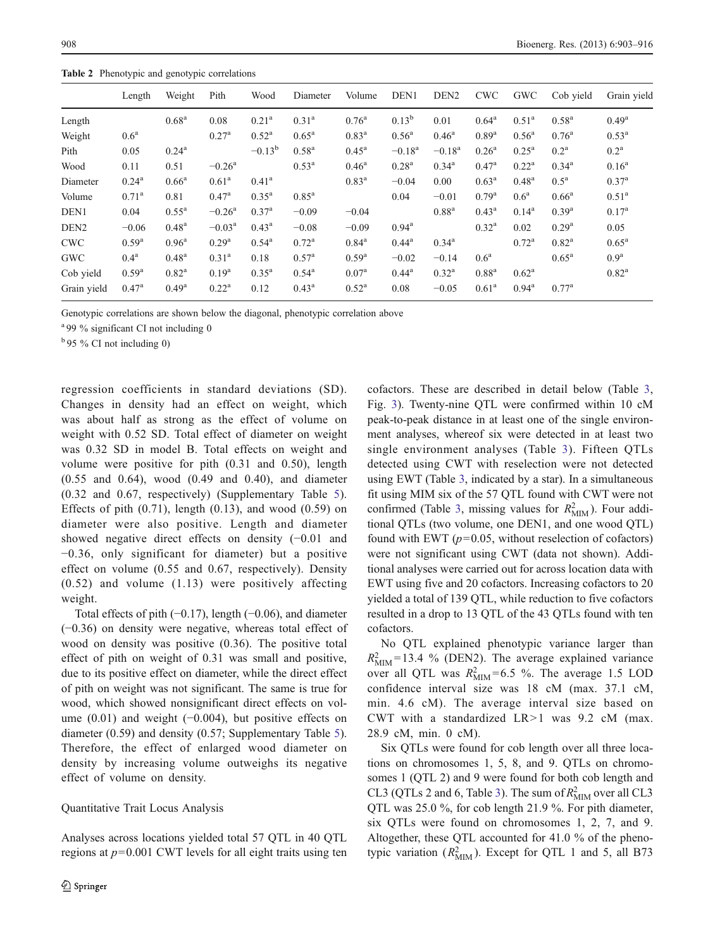<span id="page-5-0"></span>Table 2 Phenotypic and genotypic correlations

|                  | Length           | Weight            | Pith              | Wood           | Diameter          | Volume            | DEN <sub>1</sub>  | DEN <sub>2</sub>  | <b>CWC</b>        | <b>GWC</b>       | Cob yield          | Grain yield       |
|------------------|------------------|-------------------|-------------------|----------------|-------------------|-------------------|-------------------|-------------------|-------------------|------------------|--------------------|-------------------|
| Length           |                  | 0.68 <sup>a</sup> | 0.08              | $0.21^{\rm a}$ | 0.31 <sup>a</sup> | $0.76^{\rm a}$    | $0.13^{b}$        | 0.01              | $0.64^{\rm a}$    | $0.51^{\rm a}$   | 0.58 <sup>a</sup>  | $0.49^{\rm a}$    |
| Weight           | 0.6 <sup>a</sup> |                   | $0.27^{\rm a}$    | $0.52^{\rm a}$ | $0.65^{\rm a}$    | $0.83^{\rm a}$    | $0.56^{\rm a}$    | $0.46^{\rm a}$    | $0.89^{a}$        | $0.56^{\rm a}$   | $0.76^{\rm a}$     | $0.53^{\rm a}$    |
| Pith             | 0.05             | $0.24^{\rm a}$    |                   | $-0.13^{b}$    | $0.58^{a}$        | $0.45^{\rm a}$    | $-0.18^a$         | $-0.18^{\rm a}$   | $0.26^{\rm a}$    | $0.25^{\rm a}$   | 0.2 <sup>a</sup>   | 0.2 <sup>a</sup>  |
| Wood             | 0.11             | 0.51              | $-0.26^{\rm a}$   |                | $0.53^{\rm a}$    | $0.46^{\rm a}$    | 0.28 <sup>a</sup> | $0.34^{a}$        | $0.47^{\rm a}$    | $0.22^{\rm a}$   | $0.34^{a}$         | 0.16 <sup>a</sup> |
| Diameter         | $0.24^{\rm a}$   | $0.66^{\rm a}$    | 0.61 <sup>a</sup> | $0.41^{\rm a}$ |                   | $0.83^{\rm a}$    | $-0.04$           | 0.00              | $0.63^{\rm a}$    | $0.48^{\rm a}$   | $0.5^{\mathrm{a}}$ | 0.37 <sup>a</sup> |
| Volume           | $0.71^{\rm a}$   | 0.81              | $0.47^{\rm a}$    | $0.35^{\rm a}$ | $0.85^{\rm a}$    |                   | 0.04              | $-0.01$           | $0.79^{\rm a}$    | 0.6 <sup>a</sup> | $0.66^{\rm a}$     | $0.51^{\rm a}$    |
| DEN1             | 0.04             | $0.55^{\rm a}$    | $-0.26^{\rm a}$   | $0.37^{a}$     | $-0.09$           | $-0.04$           |                   | 0.88 <sup>a</sup> | $0.43^{\rm a}$    | $0.14^a$         | $0.39^{a}$         | 0.17 <sup>a</sup> |
| DEN <sub>2</sub> | $-0.06$          | $0.48^{\rm a}$    | $-0.03^{\rm a}$   | $0.43^{\rm a}$ | $-0.08$           | $-0.09$           | $0.94^{\rm a}$    |                   | $0.32^{\rm a}$    | 0.02             | $0.29^{\rm a}$     | 0.05              |
| <b>CWC</b>       | $0.59^{a}$       | $0.96^{\rm a}$    | $0.29^{\rm a}$    | $0.54^{\rm a}$ | $0.72^{\rm a}$    | $0.84^{\rm a}$    | $0.44^{\rm a}$    | $0.34^{\rm a}$    |                   | $0.72^{\rm a}$   | $0.82^{\rm a}$     | $0.65^{\rm a}$    |
| <b>GWC</b>       | 0.4 <sup>a</sup> | $0.48^{\rm a}$    | 0.31 <sup>a</sup> | 0.18           | $0.57^{\rm a}$    | $0.59^{a}$        | $-0.02$           | $-0.14$           | 0.6 <sup>a</sup>  |                  | $0.65^{\rm a}$     | 0.9 <sup>a</sup>  |
| Cob yield        | $0.59^{a}$       | $0.82^{\rm a}$    | $0.19^a$          | $0.35^{\rm a}$ | $0.54^{\rm a}$    | 0.07 <sup>a</sup> | $0.44^{\rm a}$    | $0.32^{\rm a}$    | 0.88 <sup>a</sup> | $0.62^{\rm a}$   |                    | $0.82^{\rm a}$    |
| Grain yield      | $0.47^{\rm a}$   | $0.49^{\rm a}$    | $0.22^{\rm a}$    | 0.12           | $0.43^{\rm a}$    | $0.52^{\rm a}$    | 0.08              | $-0.05$           | $0.61^{\rm a}$    | $0.94^{\rm a}$   | $0.77^{\rm a}$     |                   |

Genotypic correlations are shown below the diagonal, phenotypic correlation above

<sup>a</sup> 99 % significant CI not including 0

 $b$  95 % CI not including 0)

regression coefficients in standard deviations (SD). Changes in density had an effect on weight, which was about half as strong as the effect of volume on weight with 0.52 SD. Total effect of diameter on weight was 0.32 SD in model B. Total effects on weight and volume were positive for pith (0.31 and 0.50), length (0.55 and 0.64), wood (0.49 and 0.40), and diameter (0.32 and 0.67, respectively) (Supplementary Table 5). Effects of pith  $(0.71)$ , length  $(0.13)$ , and wood  $(0.59)$  on diameter were also positive. Length and diameter showed negative direct effects on density (−0.01 and −0.36, only significant for diameter) but a positive effect on volume (0.55 and 0.67, respectively). Density (0.52) and volume (1.13) were positively affecting weight.

Total effects of pith (−0.17), length (−0.06), and diameter (−0.36) on density were negative, whereas total effect of wood on density was positive (0.36). The positive total effect of pith on weight of 0.31 was small and positive, due to its positive effect on diameter, while the direct effect of pith on weight was not significant. The same is true for wood, which showed nonsignificant direct effects on volume (0.01) and weight (−0.004), but positive effects on diameter (0.59) and density (0.57; Supplementary Table 5). Therefore, the effect of enlarged wood diameter on density by increasing volume outweighs its negative effect of volume on density.

Quantitative Trait Locus Analysis

Analyses across locations yielded total 57 QTL in 40 QTL regions at  $p=0.001$  CWT levels for all eight traits using ten cofactors. These are described in detail below (Table [3,](#page-6-0) Fig. [3](#page-8-0)). Twenty-nine QTL were confirmed within 10 cM peak-to-peak distance in at least one of the single environment analyses, whereof six were detected in at least two single environment analyses (Table [3\)](#page-6-0). Fifteen QTLs detected using CWT with reselection were not detected using EWT (Table [3](#page-6-0), indicated by a star). In a simultaneous fit using MIM six of the 57 QTL found with CWT were not confirmed (Table [3](#page-6-0), missing values for  $R_{\text{MIM}}^2$ ). Four additional QTLs (two volume, one DEN1, and one wood QTL) found with EWT ( $p=0.05$ , without reselection of cofactors) were not significant using CWT (data not shown). Additional analyses were carried out for across location data with EWT using five and 20 cofactors. Increasing cofactors to 20 yielded a total of 139 QTL, while reduction to five cofactors resulted in a drop to 13 QTL of the 43 QTLs found with ten cofactors.

No QTL explained phenotypic variance larger than  $R_{\text{MIM}}^2$ =13.4 % (DEN2). The average explained variance over all QTL was  $R_{\text{MIM}}^2$ =6.5 %. The average 1.5 LOD confidence interval size was 18 cM (max. 37.1 cM, min. 4.6 cM). The average interval size based on CWT with a standardized LR>1 was 9.2 cM (max. 28.9 cM, min. 0 cM).

Six QTLs were found for cob length over all three locations on chromosomes 1, 5, 8, and 9. QTLs on chromosomes 1 (QTL 2) and 9 were found for both cob length and CL3 (QTLs 2 and 6, Table [3\)](#page-6-0). The sum of  $R_{\text{MIM}}^2$  over all CL3 QTL was 25.0 %, for cob length 21.9 %. For pith diameter, six QTLs were found on chromosomes 1, 2, 7, and 9. Altogether, these QTL accounted for 41.0 % of the phenotypic variation ( $R_{\text{MIM}}^2$ ). Except for QTL 1 and 5, all B73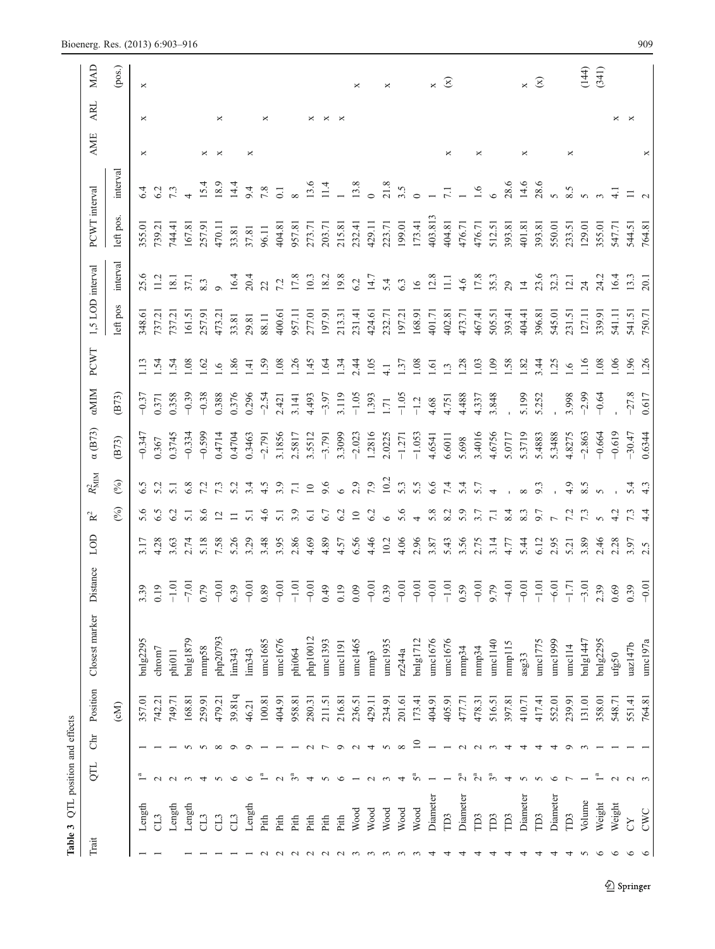<span id="page-6-0"></span>

|          | Table 3 QTL position and effects |                   |          |                   |                      |                                            |            |                          |                   |                |             |                      |          |                  |               |                  |            |            |               |
|----------|----------------------------------|-------------------|----------|-------------------|----------------------|--------------------------------------------|------------|--------------------------|-------------------|----------------|-------------|----------------------|----------|------------------|---------------|------------------|------------|------------|---------------|
| Trait    |                                  | QTL               | Chr      | Position          | Closest marker       | Distance                                   | <b>COT</b> | $\mathbf{R}^2$           | $R_{\rm MIM}^2$   | $\alpha$ (B73) | <b>aMIM</b> | PCWT                 |          | 1,5 LOD interval | PCWT interval |                  | <b>AME</b> | <b>ARL</b> | <b>MAD</b>    |
|          |                                  |                   |          | (M <sub>o</sub> ) |                      |                                            |            | (%)                      | (96)              | (B73)          | (B73)       |                      | left pos | interval         | left pos.     | interval         |            |            | (pos.)        |
|          | Length                           |                   |          | 357.01            | bnlg2295             | 3.39                                       | 3.17       | 5.6                      | 6.5               | $-0.347$       | $-0.37$     | $\ddot{1}$           | 348.61   | 25.6             | 355.01        | 6.4              | ×          | ×          | ×             |
|          | CL3                              |                   |          | 742.21            | chrom7               | 0.19                                       | 4.28       | 6.5                      | 5.2               | 0.367          | 0.371       | $\dot{5}$            | 737.21   | 11.2             | 739.21        | 6.2              |            |            |               |
|          | Length                           |                   |          | 749.71            | phi011               | $-1.01$                                    | 3.63       | 6.2                      | 5.1               | 0.3745         | 0.358       | $\dot{5}$            | 737.21   | 18.1             | 744.41        | 7.3              |            |            |               |
|          | Length                           |                   |          | 168.81            | bnlg <sub>1879</sub> | $-7.01$                                    | 2.74       | $\overline{51}$          | 6.8               | $-0.334$       | $-0.39$     | $\frac{8}{3}$        | 161.51   | 37.1             | 167.81        |                  |            |            |               |
|          | CL <sub>3</sub>                  |                   | n        | 259.91            | mmp58                | 0.79                                       | 5.18       |                          | 2.7               | $-0.599$       | $-0.38$     | $\ddot{\mathcal{O}}$ | 257.91   | 8.3              | 257.91        | 15.4             | ×          |            |               |
|          | CL3                              |                   | $\infty$ | 479.21            | php20793             | $-0.01$                                    | 7.58       | $\overline{\mathcal{C}}$ | Ω.                | 0.4714         | 0.388       | $\overline{9}$       | 473.21   |                  | 470.11        | 18.9             | ×          | ×          |               |
|          | CL3                              |                   |          | 39.81q            | lim <sub>343</sub>   | 6.39                                       | 5.26       |                          |                   | 0.4704         | 0.376       | .86                  | 33.81    | 16.4             | 33.81         | 14.4             |            |            |               |
|          | Length                           |                   |          | 46.21             | lim <sub>343</sub>   | $-0.01$                                    | 3.29       |                          |                   | 0.3463         | 0.296       | $\overline{4}$       | 29.81    | 20.4             | 37.81         | 9.4              | ×          |            |               |
|          | Pith                             |                   |          | 100.81            | umc1685              | 0.89                                       | 3.48       |                          | $-4.5$            | $-2.791$       | $-2.54$     | $\overline{.59}$     | 88.11    | 22               | 96.11         | 7.8              |            | ×          |               |
|          | Pith                             |                   |          | 404.91            | umc1676              | $-0.01$                                    | 3.95       | $\overline{51}$          | $\overline{3}$ .9 | 3.1856         | 2.421       | 0.08                 | 400.61   | 7.2              | 404.81        | $\overline{0.1}$ |            |            |               |
|          | Pith                             | $3^a$             |          | 958.81            | phi064               | $-1.01$                                    | 2.86       | 3.9                      |                   | 2.5817         | 3.141       | 1.26                 | 957.11   | 17.8             | 957.81        |                  |            |            |               |
| $\sim$   | Pith                             | 4                 |          | 280.31            | php10012             | $-0.01$                                    | 4.69       | 61                       | $\circ$           | 3.5512         | 4.493       | 45                   | 277.01   | 10.3             | 273.71        | 13.6             |            | ×          |               |
| $\sim$   | Pith                             | $\sqrt{2}$        |          | 211.51            | umc1393              | 0.49                                       | 4.89       | 6.7                      | 9.6               | $-3.791$       | $-3.97$     | $\vec{A}$            | 197.91   | 18.2             | 203.71        | 11.4             |            | ×          |               |
| $\sim$   | Pith                             | ৩                 | $\circ$  | 216.81            | umc1191              | 0.19                                       | 4.57       | 6.2                      |                   | 3.3099         | 3.119       | $\frac{34}{3}$       | 213.31   | 19.8             | 215.81        |                  |            |            |               |
|          | Wood                             |                   | $\sim$   | 236.51            | umc1465              | 0.09                                       | 6.56       | $\overline{10}$          | 2.9               | $-2.023$       | $-1.05$     | $\frac{4}{4}$        | 231.41   | 6.2              | 232.41        | 13.8             |            |            | ×             |
|          | Wood                             |                   | 4        | 429.11            | mmp3                 | $-0.01$                                    | 4.46       | 6.2                      | 7.9               | 1.2816         | 1.393       | 1.05                 | 424.61   | 14.7             | 429.11        |                  |            |            |               |
|          | Wood                             |                   | $\sigma$ | 234.91            | umc1935              | 0.39                                       | 10.2       |                          | 10.2              | 2.0225         | 1.71        | $\overline{4}$ .     | 232.71   | 5.4              | 223.71        | 21.8             |            |            | ×             |
|          | Wood                             |                   | $\infty$ | 201.61            | rz244a               | $-0.01$                                    | 4.06       | 5.6                      | 5.3               | $-1.271$       | $-1.05$     | 1.37                 | 197.21   | 6.3              | 199.01        | 3.5              |            |            |               |
|          | Wood                             |                   | $\Xi$    | 173.41            | bulg1712             | $-0.01$                                    | 2.96       |                          | 5.5               | $-1.053$       | $-1.2$      | 1.08                 | 168.91   | $\frac{1}{6}$    | 173.41        |                  |            |            |               |
| 4        | Diameter                         |                   |          | 404.91            | umc1676              | $-0.01$                                    | 3.87       | 5.8                      | 6.6               | 4.6541         | 4.68        | $\overline{1.61}$    | 401.71   | 12.8             | 403.813       |                  |            |            | $\times$      |
| 4        | TD3                              |                   |          | 405.91            | umc1676              | $-1.01$                                    | 5.43       | 8.2                      | 7.4               | 6.6011         | 4.751       | $\ddot{c}$           | 402.81   | $\Xi$            | 404.81        |                  | ×          |            | $\infty$      |
| 4        | Diameter                         | $\tilde{c}$       |          | 477.71            | mmp34                | 0.59                                       | 3.56       | 5.9                      | 5.4               | 5.698          | 4.488       | 1.28                 | 473.71   | 4.6              | 476.71        |                  |            |            |               |
| 4        | TD3                              |                   |          | 478.31            | mmp34                | $-0.01$                                    | 2.75       |                          | 5.7               | 3.4016         | 4.337       | $\frac{103}{2}$      | 467.41   | 17.8             | 476.71        | $\overline{6}$   | ×          |            |               |
| 4        | TD3                              |                   |          | 516.51            | umc1140              | 9.79                                       | 3.14       | $\overline{1}$           |                   | 4.6756         | 3.848       | 1.09                 | 505.51   | 35.3             | 512.51        |                  |            |            |               |
| 4        | TD3                              | 4                 |          | 397.81            | mmp115               | ā<br>$\overline{4}$                        | 4.77       | 8.4                      |                   | 5.0717         |             | 1.58                 | 393.41   | 29               | 393.81        | 28.6             |            |            |               |
| ↤        | Diameter                         |                   |          | 410.71            | asg33                | $-0.01$                                    | 5.44       | 8.3                      |                   |                | 5.199       | $\overline{8}$       | 404.41   | $\overline{1}$   | 401.81        | 14.6<br>28.6     | ×          |            | $\times$      |
| ↴        | TD3                              |                   |          | 417.41            | umc1775              | $-1.01$                                    | 6.12       | 9.7                      |                   | 5.4883         | 5.252       | 3.44                 | 396.81   | 23.6             | 393.81        |                  |            |            | $\mathcal{L}$ |
| 4        | Diameter                         |                   |          | 552.01            | umc1999              | $-6.01$                                    | 2.95       |                          |                   | 5.3488         |             | $\overline{25}$      | 545.01   | 32.3             | 550.01        |                  |            |            |               |
| 4        | $\overline{CD}$ 3                |                   |          | 239.91            | umc114               | $\overline{5}$<br>$\overline{\phantom{a}}$ | 5.21       | 7.2                      | 4.9               | 4.8275         | 3.998       | $\overline{9}$       | 231.51   | 12.1             | 233.51        | 8.5              | ×          |            |               |
| $\Omega$ | Volume                           |                   |          | 131.01            | $b$ nlg $1447$       | $\overline{0}$<br>$\tilde{\gamma}$         | 3.89       | 7.3                      |                   | $-2.863$       | $-2.99$     | 16                   | 127.11   | $\overline{24}$  | 129.01        |                  |            |            | (144)         |
| $\circ$  | Weight                           | $\frac{a}{\cdot}$ |          | 358.01            | bnlg2295             | 2.39                                       | 2.46       |                          |                   | $-0.664$       | $-0.64$     | 0.08                 | 339.91   | 24.2             | 355.01        |                  |            |            | (341)         |
| ৩        | Weight                           |                   |          | 548.71            | ufg50                | 0.69                                       | 2.28       | 4.2                      |                   | $-0.619$       |             | $\approx$            | 541.11   | 16.4             | 547.71        |                  |            | ×          |               |
| ७        | <b>ZC</b>                        | $\sim$            |          | 551.41            | uaz147b              | 0.39                                       | 3.97       |                          |                   | $-30.47$       | $-27.8$     | 1.96                 | 541.51   | 13.3             | 544.51        |                  |            | ×          |               |
|          | CWC                              |                   |          | 764.81            | umc197a              | $-0.01$                                    | 2.5        | $\frac{4}{4}$            | 4.3               | 0.6344         | 0.617       | 1.26                 | 750.71   | 20.1             | 764.81        |                  | ×          |            |               |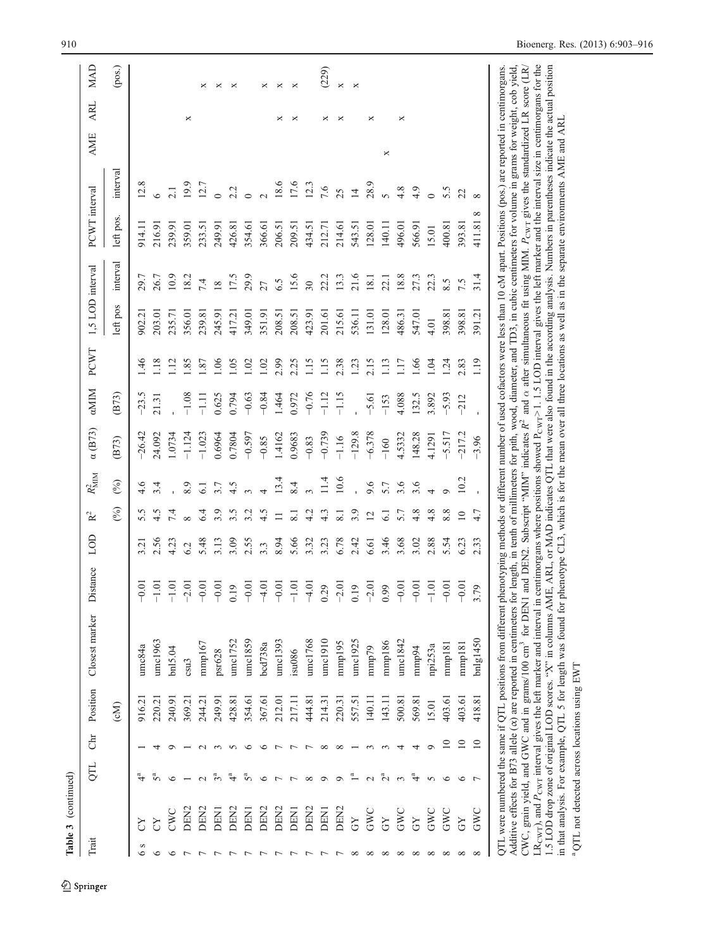|              | Table 3 (continued) |                |                |                   |                                                                                                                                                                                                                                                                                                                                                                                                                                                                                                                                                                                                                                                                                                                                                                                                                                                                                                                                                                      |          |      |                 |                 |                |             |                 |                  |                 |                                                                                                                                                                                                                                                                                                  |                |            |            |        |
|--------------|---------------------|----------------|----------------|-------------------|----------------------------------------------------------------------------------------------------------------------------------------------------------------------------------------------------------------------------------------------------------------------------------------------------------------------------------------------------------------------------------------------------------------------------------------------------------------------------------------------------------------------------------------------------------------------------------------------------------------------------------------------------------------------------------------------------------------------------------------------------------------------------------------------------------------------------------------------------------------------------------------------------------------------------------------------------------------------|----------|------|-----------------|-----------------|----------------|-------------|-----------------|------------------|-----------------|--------------------------------------------------------------------------------------------------------------------------------------------------------------------------------------------------------------------------------------------------------------------------------------------------|----------------|------------|------------|--------|
| Trait        |                     | QTL            | ੀ <sub>ਪ</sub> | Position          | Closest marker                                                                                                                                                                                                                                                                                                                                                                                                                                                                                                                                                                                                                                                                                                                                                                                                                                                                                                                                                       | Distance | LOD  | $\mathbf{R}^2$  | $R_{\rm MIM}^2$ | $\alpha$ (B73) | <b>MIND</b> | PCWT            | 1,5 LOD interval |                 | PCWT interval                                                                                                                                                                                                                                                                                    |                | <b>AME</b> | <b>ARL</b> | MAD    |
|              |                     |                |                | (M <sub>o</sub> ) |                                                                                                                                                                                                                                                                                                                                                                                                                                                                                                                                                                                                                                                                                                                                                                                                                                                                                                                                                                      |          |      | (%)             | (%)             | (B73)          | (B73)       |                 | left pos         | interval        | left pos                                                                                                                                                                                                                                                                                         | interval       |            |            | (pos.) |
| S            | 55                  |                |                | 916.21            | umc84a                                                                                                                                                                                                                                                                                                                                                                                                                                                                                                                                                                                                                                                                                                                                                                                                                                                                                                                                                               | 0.01     | 3.21 | 5.5             | 4.6             | $-26.42$       | $-23.5$     | $\overline{46}$ | 902.21           | 29.7            | 914.11                                                                                                                                                                                                                                                                                           | 12.8           |            |            |        |
|              |                     |                |                | 220.21            | umc1963                                                                                                                                                                                                                                                                                                                                                                                                                                                                                                                                                                                                                                                                                                                                                                                                                                                                                                                                                              | $-1.01$  | 2.56 | 4.5             | 3.4             | 24.092         | 21.31       | .18             | 203.01           | 26.7            | 216.91                                                                                                                                                                                                                                                                                           | $\circ$        |            |            |        |
|              | CWC                 | $\circ$        |                | 240.91            | b <sub>m15.04</sub>                                                                                                                                                                                                                                                                                                                                                                                                                                                                                                                                                                                                                                                                                                                                                                                                                                                                                                                                                  | $-1.01$  | 4.23 | 7.4             |                 | 1.0734         |             | $\frac{12}{1}$  | 235.71           | 10.9            | 239.91                                                                                                                                                                                                                                                                                           | 2.1            |            |            |        |
|              | DEN <sub>2</sub>    |                |                | 369.21            | csu3                                                                                                                                                                                                                                                                                                                                                                                                                                                                                                                                                                                                                                                                                                                                                                                                                                                                                                                                                                 | 2.01     | 6.2  | $\infty$        | 8.9             | $-1.124$       | $-1.08$     | 85              | 356.01           | 18.2            | 359.01                                                                                                                                                                                                                                                                                           | 19.9           |            | ×          |        |
|              | DEN <sub>2</sub>    |                |                | 244.21            | mmp167                                                                                                                                                                                                                                                                                                                                                                                                                                                                                                                                                                                                                                                                                                                                                                                                                                                                                                                                                               | $-0.01$  | 5.48 | 6.4             | 6.1             | $-1.023$       | $-1.11$     | -87             | 239.81           | 7.4             | 233.51                                                                                                                                                                                                                                                                                           | 12.7           |            |            |        |
|              | <b>DEN1</b>         |                |                | 249.91            | psr628                                                                                                                                                                                                                                                                                                                                                                                                                                                                                                                                                                                                                                                                                                                                                                                                                                                                                                                                                               | $-0.01$  | 3.13 | 3.9             | 3.7             | 0.6964         | 0.625       | .06             | 245.91           | $\overline{18}$ | 249.91                                                                                                                                                                                                                                                                                           |                |            |            | ×      |
|              | DEN <sub>2</sub>    |                | r              | 428.81            | umc1752                                                                                                                                                                                                                                                                                                                                                                                                                                                                                                                                                                                                                                                                                                                                                                                                                                                                                                                                                              | 0.19     | 3.09 | 3.5             | 4.5             | 0.7804         | 0.794       | $\overline{50}$ | 417.21           | 17.5            | 426.81                                                                                                                                                                                                                                                                                           | 2.2            |            |            | ×      |
|              | <b>DEN1</b>         | ຶດ             | ७              | 354.61            | umc1859                                                                                                                                                                                                                                                                                                                                                                                                                                                                                                                                                                                                                                                                                                                                                                                                                                                                                                                                                              | $-0.01$  | 2.55 | 3.2             |                 | $-0.597$       | $-0.63$     | $\overline{0}$  | 349.01           | 29.9            | 354.61                                                                                                                                                                                                                                                                                           |                |            |            |        |
|              | DEN <sub>2</sub>    | ৩              | ७              | 367.61            | bcd738a                                                                                                                                                                                                                                                                                                                                                                                                                                                                                                                                                                                                                                                                                                                                                                                                                                                                                                                                                              | $-4.01$  | 3.3  | 4.5             |                 | $-0.85$        | $-0.84$     | $\overline{0}$  | 351.91           | 27              | 366.61                                                                                                                                                                                                                                                                                           |                |            |            | ×      |
|              | DEN <sub>2</sub>    |                |                | 212.01            | umc1393                                                                                                                                                                                                                                                                                                                                                                                                                                                                                                                                                                                                                                                                                                                                                                                                                                                                                                                                                              | $-0.01$  | 8.94 | $\Box$          | 13.4            | 1.4162         | 1.464       | 2.99            | 208.51           | 6.5             | 206.51                                                                                                                                                                                                                                                                                           | 18.6           |            | ×          | ×      |
|              | <b>DEN1</b>         |                |                | 217.11            | isu086                                                                                                                                                                                                                                                                                                                                                                                                                                                                                                                                                                                                                                                                                                                                                                                                                                                                                                                                                               | $-1.01$  | 5.66 | 8.1             | 8.4             | 0.9683         | 0.972       | 2.25            | 208.51           | 15.6            | 209.51                                                                                                                                                                                                                                                                                           | 17.6           |            | ×          |        |
|              | DEN <sub>2</sub>    | $\infty$       | ↽              | 444.81            | umc1768                                                                                                                                                                                                                                                                                                                                                                                                                                                                                                                                                                                                                                                                                                                                                                                                                                                                                                                                                              | $-4.01$  | 3.32 | 4.2             |                 | $-0.83$        | $-0.76$     | 115             | 423.91           | 30 <sub>o</sub> | 434.51                                                                                                                                                                                                                                                                                           | 12.3           |            |            |        |
|              | <b>DEN1</b>         |                | ∞              | 214.31            | umc1910                                                                                                                                                                                                                                                                                                                                                                                                                                                                                                                                                                                                                                                                                                                                                                                                                                                                                                                                                              | 0.29     | 3.23 | 4.3             | 11.4            | $-0.739$       | $-1.12$     | $\frac{15}{2}$  | 201.61           | 22.2            | 212.71                                                                                                                                                                                                                                                                                           | 7.6            |            | ×          | (229)  |
|              | DEN <sub>2</sub>    |                | $\infty$       | 220.31            | mmp195                                                                                                                                                                                                                                                                                                                                                                                                                                                                                                                                                                                                                                                                                                                                                                                                                                                                                                                                                               | $-2.01$  | 6.78 | 8.1             | 10.6            | $-1.16$        | $-1.15$     | 2.38            | 215.61           | 13.3            | 214.61                                                                                                                                                                                                                                                                                           | 25             |            | ×          |        |
|              | <b>RD</b>           |                |                | 557.51            | umc1925                                                                                                                                                                                                                                                                                                                                                                                                                                                                                                                                                                                                                                                                                                                                                                                                                                                                                                                                                              | 0.19     | 2.42 | 3.9             |                 | $-129.8$       |             | 1.23            | 536.11           | 21.6            | 543.51                                                                                                                                                                                                                                                                                           | $\overline{1}$ |            |            |        |
|              | GWC                 |                |                | 140.11            | $\mathrm{mmp}79$                                                                                                                                                                                                                                                                                                                                                                                                                                                                                                                                                                                                                                                                                                                                                                                                                                                                                                                                                     | $-2.01$  | 6.61 | $\overline{c}$  | 9.6             | $-6.378$       | $-5.61$     | 2.15            | 131.01           | 18.1            | 128.01                                                                                                                                                                                                                                                                                           | 28.9           |            | ×          |        |
|              | <b>RD</b>           |                | $\sim$         | 143.11            | mmp186                                                                                                                                                                                                                                                                                                                                                                                                                                                                                                                                                                                                                                                                                                                                                                                                                                                                                                                                                               | 0.99     | 3.46 | $\overline{61}$ | 5.7             | $-160$         | $-153$      | $\frac{13}{2}$  | 128.01           | 22.1            | 140.11                                                                                                                                                                                                                                                                                           | $\mathbf{v}$   | ×          |            |        |
|              | SWC                 |                | 4              | 500.81            | umc1842                                                                                                                                                                                                                                                                                                                                                                                                                                                                                                                                                                                                                                                                                                                                                                                                                                                                                                                                                              | $-0.01$  | 3.68 | 5.7             | 3.6             | 4.5332         | 4.088       | 17              | 486.31           | 18.8            | 496.01                                                                                                                                                                                                                                                                                           | 4.8            |            | ×          |        |
|              | <b>RD</b>           | $\frac{a}{4}$  | 4              | 569.81            | map94                                                                                                                                                                                                                                                                                                                                                                                                                                                                                                                                                                                                                                                                                                                                                                                                                                                                                                                                                                | $-0.01$  | 3.02 | 4.8             | 3.6             | 148.28         | 132.5       | .66             | 547.01           | 27.3            | 566.91                                                                                                                                                                                                                                                                                           | 4.9            |            |            |        |
|              | GWC                 |                | Ô              | 15.01             | npi253a                                                                                                                                                                                                                                                                                                                                                                                                                                                                                                                                                                                                                                                                                                                                                                                                                                                                                                                                                              | $-1.01$  | 2.88 | 4.8             |                 | 4.1291         | 3.892       | 1.04            | 4.01             | 22.3            | 15.01                                                                                                                                                                                                                                                                                            | $\circ$        |            |            |        |
|              | GWC                 | $\circ$        | $\approx$      | 403.61            | $\mathrm{mmp}181$                                                                                                                                                                                                                                                                                                                                                                                                                                                                                                                                                                                                                                                                                                                                                                                                                                                                                                                                                    | $-0.01$  | 5.54 | 8.8             |                 | $-5.517$       | $-5.93$     | $\ddot{c}$      | 398.81           | 8.5             | 400.81                                                                                                                                                                                                                                                                                           | 5.5            |            |            |        |
| ${}^{\circ}$ | č                   | $\circ$        | $\approx$      | 403.61            | mmp181                                                                                                                                                                                                                                                                                                                                                                                                                                                                                                                                                                                                                                                                                                                                                                                                                                                                                                                                                               | $-0.01$  | 6.23 | $\overline{10}$ | 10.2            | $-217.2$       | $-212$      | 2.83            | 398.81           | 7.5             | 393.81                                                                                                                                                                                                                                                                                           | 22             |            |            |        |
| ${}^{\circ}$ | GWC                 | $\overline{ }$ | $\supseteq$    | 418.81            | $b$ nlg $1450$                                                                                                                                                                                                                                                                                                                                                                                                                                                                                                                                                                                                                                                                                                                                                                                                                                                                                                                                                       | 3.79     | 2.33 | 4.7             |                 | $-3.96$        |             | 1.19            | 391.21           | 31.4            | $^{\circ}$<br>411.81                                                                                                                                                                                                                                                                             | $\infty$       |            |            |        |
|              |                     |                |                |                   | 1.5 LOD drop zone of original LOD scores. "X" in columns AME, ARL, or MAD indicates QTL that were also found in the according analysis. Numbers in parentheses indicate the actual position<br>QTL were numbered the same if QTL positions from different phenotyping methods or different number of used cofactors were less than 10 cM apart. Positions (pos.) are reported in centimorgans<br>Additive effects for B73 allele ( $\alpha$ ) are reported in centimeters for length, in tenth of millimeters for pith, wood, diameter, and TD3, in cubic centimeters for volume in grams for weight, cob yield<br>in that analysis. For example, QTL 5 for length was found for phenotype CL3, which is for the mean over all three locations as well as in the separate environments AME and ARL<br>$LR_{\text{CWT}}$ ), and $P_{\text{CWT}}$ interval gives the left marker and interval in<br>CWC, grain yield, and GWC and in grams/100 cm <sup>3</sup> for DEN |          |      |                 |                 |                |             |                 |                  |                 | centimorgans where positions showed P <sub>CWT</sub> >1.1.5 LOD interval gives the left marker and the interval size in centimorgans for the<br>1 and DEN2. Subscript "MIM" indicates $R^2$ and $\alpha$ after simultaneous fit using MIM. $P_{\text{CWT}}$ gives the standardized LR score (LR. |                |            |            |        |
|              |                     |                |                |                   |                                                                                                                                                                                                                                                                                                                                                                                                                                                                                                                                                                                                                                                                                                                                                                                                                                                                                                                                                                      |          |      |                 |                 |                |             |                 |                  |                 |                                                                                                                                                                                                                                                                                                  |                |            |            |        |

<sup>a</sup> QTL not detected across locations using EWT QTL not detected across locations using EWT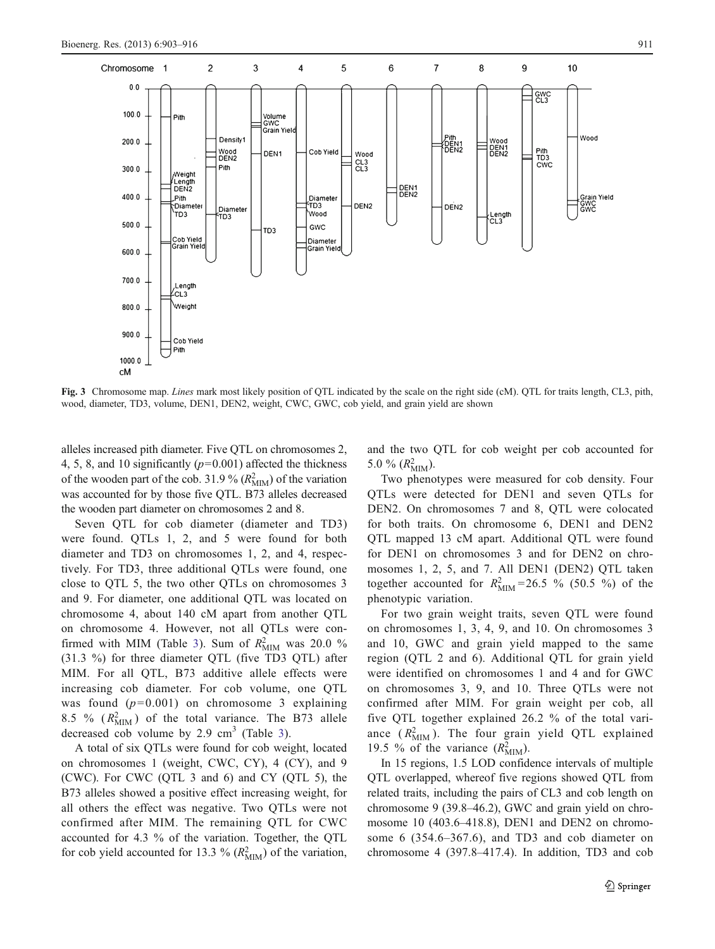<span id="page-8-0"></span>

Fig. 3 Chromosome map. *Lines* mark most likely position of QTL indicated by the scale on the right side (cM). QTL for traits length, CL3, pith, wood, diameter, TD3, volume, DEN1, DEN2, weight, CWC, GWC, cob yield, and grain yield are shown

alleles increased pith diameter. Five QTL on chromosomes 2, 4, 5, 8, and 10 significantly  $(p=0.001)$  affected the thickness of the wooden part of the cob. 31.9 %  $(R<sub>MIM</sub><sup>2</sup>)$  of the variation was accounted for by those five QTL. B73 alleles decreased the wooden part diameter on chromosomes 2 and 8.

Seven QTL for cob diameter (diameter and TD3) were found. QTLs 1, 2, and 5 were found for both diameter and TD3 on chromosomes 1, 2, and 4, respectively. For TD3, three additional QTLs were found, one close to QTL 5, the two other QTLs on chromosomes 3 and 9. For diameter, one additional QTL was located on chromosome 4, about 140 cM apart from another QTL on chromosome 4. However, not all QTLs were con-firmed with MIM (Table [3\)](#page-6-0). Sum of  $R_{\text{MIM}}^2$  was 20.0 % (31.3 %) for three diameter QTL (five TD3 QTL) after MIM. For all QTL, B73 additive allele effects were increasing cob diameter. For cob volume, one QTL was found  $(p=0.001)$  on chromosome 3 explaining 8.5 % ( $R_{\text{MIM}}^2$ ) of the total variance. The B73 allele decreased cob volume by  $2.9 \text{ cm}^3$  (Table [3\)](#page-6-0).

A total of six QTLs were found for cob weight, located on chromosomes 1 (weight, CWC, CY), 4 (CY), and 9 (CWC). For CWC (QTL 3 and 6) and CY (QTL 5), the B73 alleles showed a positive effect increasing weight, for all others the effect was negative. Two QTLs were not confirmed after MIM. The remaining QTL for CWC accounted for 4.3 % of the variation. Together, the QTL for cob yield accounted for 13.3 %  $(R<sub>MIM</sub><sup>2</sup>)$  of the variation,

and the two QTL for cob weight per cob accounted for 5.0 %  $(R_{\text{MIM}}^2)$ .

Two phenotypes were measured for cob density. Four QTLs were detected for DEN1 and seven QTLs for DEN2. On chromosomes 7 and 8, QTL were colocated for both traits. On chromosome 6, DEN1 and DEN2 QTL mapped 13 cM apart. Additional QTL were found for DEN1 on chromosomes 3 and for DEN2 on chromosomes 1, 2, 5, and 7. All DEN1 (DEN2) QTL taken together accounted for  $R_{\text{MIM}}^2$  =26.5 % (50.5 %) of the phenotypic variation.

For two grain weight traits, seven QTL were found on chromosomes 1, 3, 4, 9, and 10. On chromosomes 3 and 10, GWC and grain yield mapped to the same region (QTL 2 and 6). Additional QTL for grain yield were identified on chromosomes 1 and 4 and for GWC on chromosomes 3, 9, and 10. Three QTLs were not confirmed after MIM. For grain weight per cob, all five QTL together explained 26.2 % of the total variance  $(R_{\text{MIM}}^2)$ . The four grain yield QTL explained 19.5 % of the variance  $(R_{\text{MIM}}^2)$ .

In 15 regions, 1.5 LOD confidence intervals of multiple QTL overlapped, whereof five regions showed QTL from related traits, including the pairs of CL3 and cob length on chromosome 9 (39.8–46.2), GWC and grain yield on chromosome 10 (403.6–418.8), DEN1 and DEN2 on chromosome 6 (354.6–367.6), and TD3 and cob diameter on chromosome 4 (397.8–417.4). In addition, TD3 and cob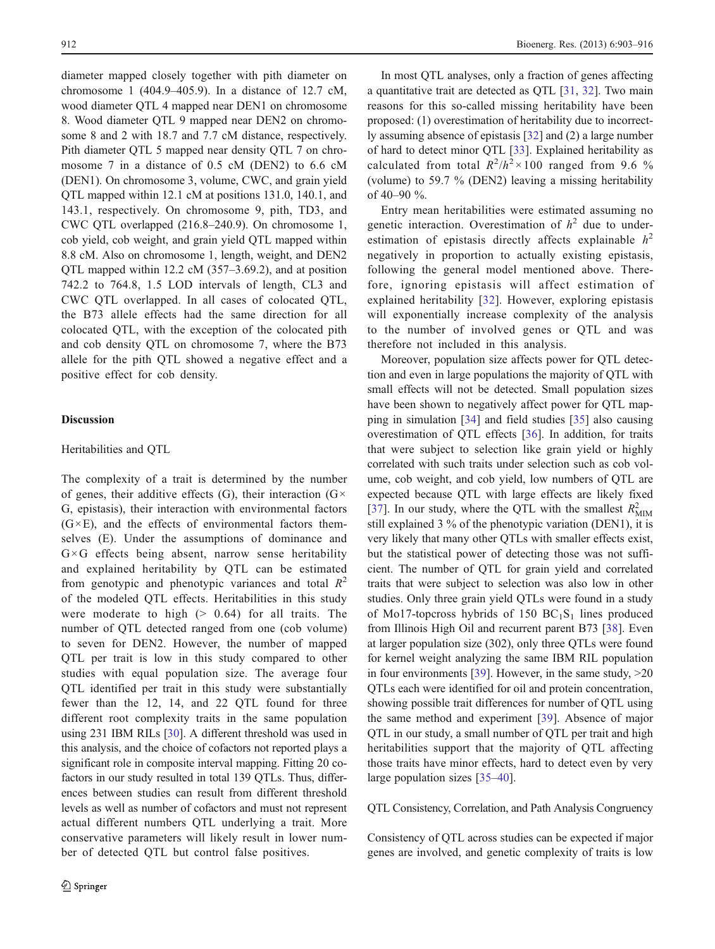diameter mapped closely together with pith diameter on chromosome 1 (404.9–405.9). In a distance of 12.7 cM, wood diameter QTL 4 mapped near DEN1 on chromosome 8. Wood diameter QTL 9 mapped near DEN2 on chromosome 8 and 2 with 18.7 and 7.7 cM distance, respectively. Pith diameter QTL 5 mapped near density QTL 7 on chromosome 7 in a distance of 0.5 cM (DEN2) to 6.6 cM (DEN1). On chromosome 3, volume, CWC, and grain yield QTL mapped within 12.1 cM at positions 131.0, 140.1, and 143.1, respectively. On chromosome 9, pith, TD3, and CWC QTL overlapped (216.8–240.9). On chromosome 1, cob yield, cob weight, and grain yield QTL mapped within 8.8 cM. Also on chromosome 1, length, weight, and DEN2 QTL mapped within 12.2 cM (357–3.69.2), and at position 742.2 to 764.8, 1.5 LOD intervals of length, CL3 and CWC QTL overlapped. In all cases of colocated QTL, the B73 allele effects had the same direction for all colocated QTL, with the exception of the colocated pith and cob density QTL on chromosome 7, where the B73 allele for the pith QTL showed a negative effect and a positive effect for cob density.

#### **Discussion**

## Heritabilities and QTL

The complexity of a trait is determined by the number of genes, their additive effects (G), their interaction ( $G \times$ G, epistasis), their interaction with environmental factors  $(G \times E)$ , and the effects of environmental factors themselves (E). Under the assumptions of dominance and  $G\times G$  effects being absent, narrow sense heritability and explained heritability by QTL can be estimated from genotypic and phenotypic variances and total  $R^2$ of the modeled QTL effects. Heritabilities in this study were moderate to high  $(> 0.64)$  for all traits. The number of QTL detected ranged from one (cob volume) to seven for DEN2. However, the number of mapped QTL per trait is low in this study compared to other studies with equal population size. The average four QTL identified per trait in this study were substantially fewer than the 12, 14, and 22 QTL found for three different root complexity traits in the same population using 231 IBM RILs [[30](#page-12-0)]. A different threshold was used in this analysis, and the choice of cofactors not reported plays a significant role in composite interval mapping. Fitting 20 cofactors in our study resulted in total 139 QTLs. Thus, differences between studies can result from different threshold levels as well as number of cofactors and must not represent actual different numbers QTL underlying a trait. More conservative parameters will likely result in lower number of detected QTL but control false positives.

In most QTL analyses, only a fraction of genes affecting a quantitative trait are detected as QTL [[31,](#page-12-0) [32](#page-12-0)]. Two main reasons for this so-called missing heritability have been proposed: (1) overestimation of heritability due to incorrectly assuming absence of epistasis [\[32](#page-12-0)] and (2) a large number of hard to detect minor QTL [[33\]](#page-12-0). Explained heritability as calculated from total  $R^2/h^2 \times 100$  ranged from 9.6 % (volume) to 59.7 % (DEN2) leaving a missing heritability of  $40-90\%$ .

Entry mean heritabilities were estimated assuming no genetic interaction. Overestimation of  $h^2$  due to underestimation of epistasis directly affects explainable  $h^2$ negatively in proportion to actually existing epistasis, following the general model mentioned above. Therefore, ignoring epistasis will affect estimation of explained heritability [\[32\]](#page-12-0). However, exploring epistasis will exponentially increase complexity of the analysis to the number of involved genes or QTL and was therefore not included in this analysis.

Moreover, population size affects power for QTL detection and even in large populations the majority of QTL with small effects will not be detected. Small population sizes have been shown to negatively affect power for QTL mapping in simulation [\[34](#page-12-0)] and field studies [[35\]](#page-12-0) also causing overestimation of QTL effects [[36\]](#page-12-0). In addition, for traits that were subject to selection like grain yield or highly correlated with such traits under selection such as cob volume, cob weight, and cob yield, low numbers of QTL are expected because QTL with large effects are likely fixed [\[37](#page-12-0)]. In our study, where the QTL with the smallest  $R_{\text{MIM}}^2$ still explained 3 % of the phenotypic variation (DEN1), it is very likely that many other QTLs with smaller effects exist, but the statistical power of detecting those was not sufficient. The number of QTL for grain yield and correlated traits that were subject to selection was also low in other studies. Only three grain yield QTLs were found in a study of Mo17-topcross hybrids of 150  $BC<sub>1</sub>S<sub>1</sub>$  lines produced from Illinois High Oil and recurrent parent B73 [[38\]](#page-12-0). Even at larger population size (302), only three QTLs were found for kernel weight analyzing the same IBM RIL population in four environments [\[39](#page-12-0)]. However, in the same study, >20 QTLs each were identified for oil and protein concentration, showing possible trait differences for number of QTL using the same method and experiment [[39\]](#page-12-0). Absence of major QTL in our study, a small number of QTL per trait and high heritabilities support that the majority of QTL affecting those traits have minor effects, hard to detect even by very large population sizes [\[35](#page-12-0)–[40](#page-12-0)].

#### QTL Consistency, Correlation, and Path Analysis Congruency

Consistency of QTL across studies can be expected if major genes are involved, and genetic complexity of traits is low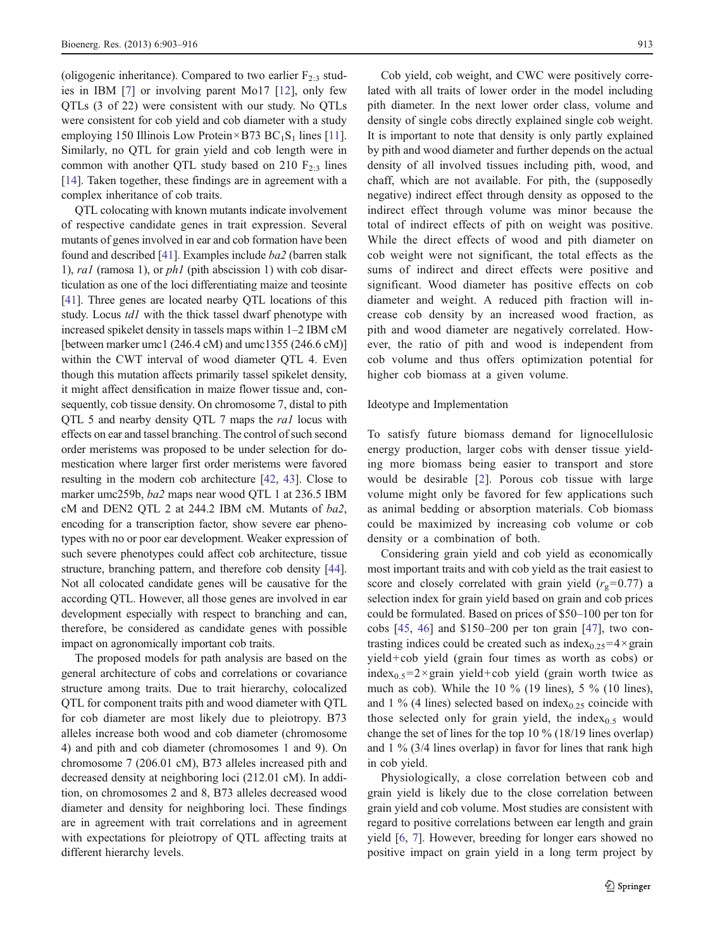(oligogenic inheritance). Compared to two earlier  $F_{2,3}$  studies in IBM [[7\]](#page-12-0) or involving parent Mo17 [\[12](#page-12-0)], only few QTLs (3 of 22) were consistent with our study. No QTLs were consistent for cob yield and cob diameter with a study employing 150 Illinois Low Protein×B73 BC<sub>1</sub>S<sub>1</sub> lines [[11](#page-12-0)]. Similarly, no QTL for grain yield and cob length were in common with another QTL study based on 210  $F_{2,3}$  lines [\[14](#page-12-0)]. Taken together, these findings are in agreement with a complex inheritance of cob traits.

QTL colocating with known mutants indicate involvement of respective candidate genes in trait expression. Several mutants of genes involved in ear and cob formation have been found and described [[41\]](#page-12-0). Examples include ba2 (barren stalk 1), ral (ramosa 1), or *ph1* (pith abscission 1) with cob disarticulation as one of the loci differentiating maize and teosinte [\[41\]](#page-12-0). Three genes are located nearby QTL locations of this study. Locus *td1* with the thick tassel dwarf phenotype with increased spikelet density in tassels maps within 1–2 IBM cM [between marker umc1 (246.4 cM) and umc1355 (246.6 cM)] within the CWT interval of wood diameter QTL 4. Even though this mutation affects primarily tassel spikelet density, it might affect densification in maize flower tissue and, consequently, cob tissue density. On chromosome 7, distal to pith QTL 5 and nearby density QTL 7 maps the ra1 locus with effects on ear and tassel branching. The control of such second order meristems was proposed to be under selection for domestication where larger first order meristems were favored resulting in the modern cob architecture [\[42,](#page-12-0) [43\]](#page-13-0). Close to marker umc259b, ba2 maps near wood QTL 1 at 236.5 IBM cM and DEN2 QTL 2 at 244.2 IBM cM. Mutants of ba2, encoding for a transcription factor, show severe ear phenotypes with no or poor ear development. Weaker expression of such severe phenotypes could affect cob architecture, tissue structure, branching pattern, and therefore cob density [[44\]](#page-13-0). Not all colocated candidate genes will be causative for the according QTL. However, all those genes are involved in ear development especially with respect to branching and can, therefore, be considered as candidate genes with possible impact on agronomically important cob traits.

The proposed models for path analysis are based on the general architecture of cobs and correlations or covariance structure among traits. Due to trait hierarchy, colocalized QTL for component traits pith and wood diameter with QTL for cob diameter are most likely due to pleiotropy. B73 alleles increase both wood and cob diameter (chromosome 4) and pith and cob diameter (chromosomes 1 and 9). On chromosome 7 (206.01 cM), B73 alleles increased pith and decreased density at neighboring loci (212.01 cM). In addition, on chromosomes 2 and 8, B73 alleles decreased wood diameter and density for neighboring loci. These findings are in agreement with trait correlations and in agreement with expectations for pleiotropy of QTL affecting traits at different hierarchy levels.

Cob yield, cob weight, and CWC were positively correlated with all traits of lower order in the model including pith diameter. In the next lower order class, volume and density of single cobs directly explained single cob weight. It is important to note that density is only partly explained by pith and wood diameter and further depends on the actual density of all involved tissues including pith, wood, and chaff, which are not available. For pith, the (supposedly negative) indirect effect through density as opposed to the indirect effect through volume was minor because the total of indirect effects of pith on weight was positive. While the direct effects of wood and pith diameter on cob weight were not significant, the total effects as the sums of indirect and direct effects were positive and significant. Wood diameter has positive effects on cob diameter and weight. A reduced pith fraction will increase cob density by an increased wood fraction, as pith and wood diameter are negatively correlated. However, the ratio of pith and wood is independent from cob volume and thus offers optimization potential for higher cob biomass at a given volume.

# Ideotype and Implementation

To satisfy future biomass demand for lignocellulosic energy production, larger cobs with denser tissue yielding more biomass being easier to transport and store would be desirable [[2](#page-12-0)]. Porous cob tissue with large volume might only be favored for few applications such as animal bedding or absorption materials. Cob biomass could be maximized by increasing cob volume or cob density or a combination of both.

Considering grain yield and cob yield as economically most important traits and with cob yield as the trait easiest to score and closely correlated with grain yield  $(r<sub>g</sub>=0.77)$  a selection index for grain yield based on grain and cob prices could be formulated. Based on prices of \$50–100 per ton for cobs [[45,](#page-13-0) [46\]](#page-13-0) and \$150–200 per ton grain [\[47](#page-13-0)], two contrasting indices could be created such as index<sub>0.25</sub>=4×grain yield+cob yield (grain four times as worth as cobs) or index<sub>0.5</sub>=2×grain yield+cob yield (grain worth twice as much as cob). While the 10 % (19 lines), 5 % (10 lines), and 1 % (4 lines) selected based on index<sub>0.25</sub> coincide with those selected only for grain yield, the index $_{0.5}$  would change the set of lines for the top 10 % (18/19 lines overlap) and 1 % (3/4 lines overlap) in favor for lines that rank high in cob yield.

Physiologically, a close correlation between cob and grain yield is likely due to the close correlation between grain yield and cob volume. Most studies are consistent with regard to positive correlations between ear length and grain yield [[6,](#page-12-0) [7](#page-12-0)]. However, breeding for longer ears showed no positive impact on grain yield in a long term project by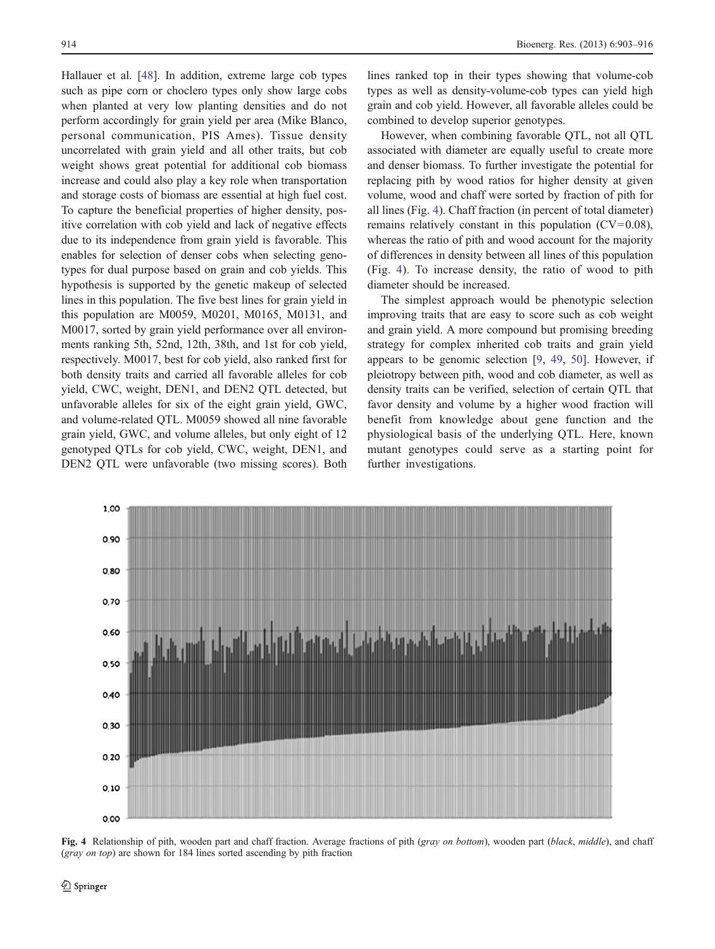Hallauer et al. [[48\]](#page-13-0). In addition, extreme large cob types such as pipe corn or choclero types only show large cobs when planted at very low planting densities and do not perform accordingly for grain yield per area (Mike Blanco, personal communication, PIS Ames). Tissue density uncorrelated with grain yield and all other traits, but cob weight shows great potential for additional cob biomass increase and could also play a key role when transportation and storage costs of biomass are essential at high fuel cost. To capture the beneficial properties of higher density, positive correlation with cob yield and lack of negative effects due to its independence from grain yield is favorable. This enables for selection of denser cobs when selecting genotypes for dual purpose based on grain and cob yields. This hypothesis is supported by the genetic makeup of selected lines in this population. The five best lines for grain yield in this population are M0059, M0201, M0165, M0131, and M0017, sorted by grain yield performance over all environments ranking 5th, 52nd, 12th, 38th, and 1st for cob yield, respectively. M0017, best for cob yield, also ranked first for both density traits and carried all favorable alleles for cob yield, CWC, weight, DEN1, and DEN2 QTL detected, but unfavorable alleles for six of the eight grain yield, GWC, and volume-related QTL. M0059 showed all nine favorable grain yield, GWC, and volume alleles, but only eight of 12 genotyped QTLs for cob yield, CWC, weight, DEN1, and DEN2 QTL were unfavorable (two missing scores). Both

lines ranked top in their types showing that volume-cob types as well as density-volume-cob types can yield high grain and cob yield. However, all favorable alleles could be combined to develop superior genotypes.

However, when combining favorable QTL, not all QTL associated with diameter are equally useful to create more and denser biomass. To further investigate the potential for replacing pith by wood ratios for higher density at given volume, wood and chaff were sorted by fraction of pith for all lines (Fig. 4). Chaff fraction (in percent of total diameter) remains relatively constant in this population  $(CV=0.08)$ , whereas the ratio of pith and wood account for the majority of differences in density between all lines of this population (Fig. 4). To increase density, the ratio of wood to pith diameter should be increased.

The simplest approach would be phenotypic selection improving traits that are easy to score such as cob weight and grain yield. A more compound but promising breeding strategy for complex inherited cob traits and grain yield appears to be genomic selection [\[9](#page-12-0), [49,](#page-13-0) [50\]](#page-13-0). However, if pleiotropy between pith, wood and cob diameter, as well as density traits can be verified, selection of certain QTL that favor density and volume by a higher wood fraction will benefit from knowledge about gene function and the physiological basis of the underlying QTL. Here, known mutant genotypes could serve as a starting point for further investigations.



Fig. 4 Relationship of pith, wooden part and chaff fraction. Average fractions of pith (gray on bottom), wooden part (black, middle), and chaff (gray on top) are shown for 184 lines sorted ascending by pith fraction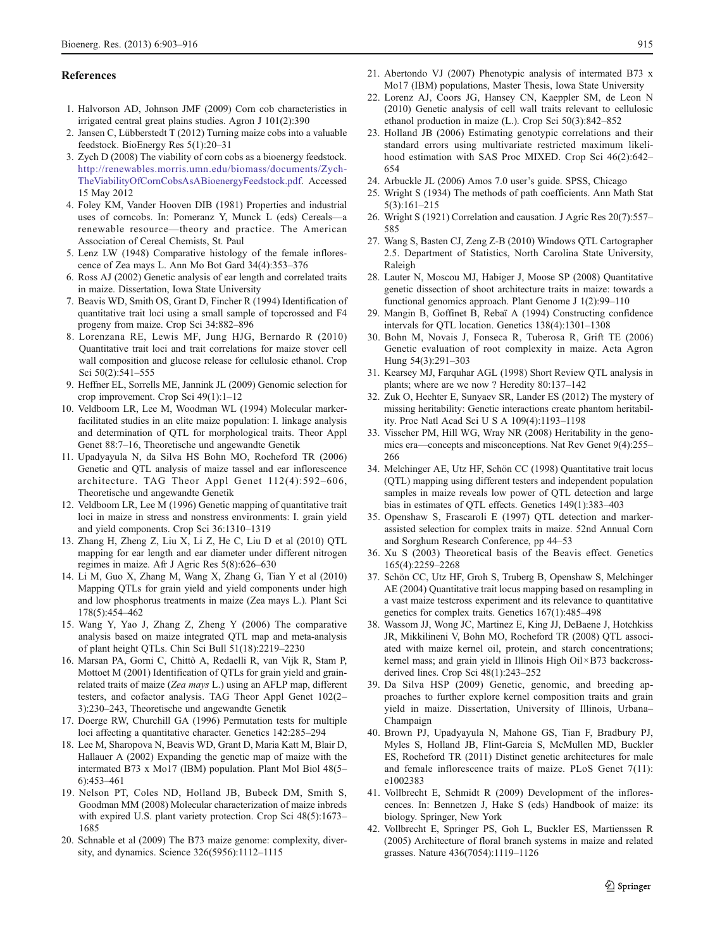#### <span id="page-12-0"></span>References

- 1. Halvorson AD, Johnson JMF (2009) Corn cob characteristics in irrigated central great plains studies. Agron J 101(2):390
- 2. Jansen C, Lübberstedt T (2012) Turning maize cobs into a valuable feedstock. BioEnergy Res 5(1):20–31
- 3. Zych D (2008) The viability of corn cobs as a bioenergy feedstock. [http://renewables.morris.umn.edu/biomass/documents/Zych-](http://renewables.morris.umn.edu/biomass/documents/Zych-TheViabilityOfCornCobsAsABioenergyFeedstock.pdf)[TheViabilityOfCornCobsAsABioenergyFeedstock.pdf.](http://renewables.morris.umn.edu/biomass/documents/Zych-TheViabilityOfCornCobsAsABioenergyFeedstock.pdf) Accessed 15 May 2012
- 4. Foley KM, Vander Hooven DIB (1981) Properties and industrial uses of corncobs. In: Pomeranz Y, Munck L (eds) Cereals—a renewable resource—theory and practice. The American Association of Cereal Chemists, St. Paul
- 5. Lenz LW (1948) Comparative histology of the female inflorescence of Zea mays L. Ann Mo Bot Gard 34(4):353–376
- 6. Ross AJ (2002) Genetic analysis of ear length and correlated traits in maize. Dissertation, Iowa State University
- 7. Beavis WD, Smith OS, Grant D, Fincher R (1994) Identification of quantitative trait loci using a small sample of topcrossed and F4 progeny from maize. Crop Sci 34:882–896
- 8. Lorenzana RE, Lewis MF, Jung HJG, Bernardo R (2010) Quantitative trait loci and trait correlations for maize stover cell wall composition and glucose release for cellulosic ethanol. Crop Sci 50(2):541–555
- 9. Heffner EL, Sorrells ME, Jannink JL (2009) Genomic selection for crop improvement. Crop Sci 49(1):1–12
- 10. Veldboom LR, Lee M, Woodman WL (1994) Molecular markerfacilitated studies in an elite maize population: I. linkage analysis and determination of QTL for morphological traits. Theor Appl Genet 88:7–16, Theoretische und angewandte Genetik
- 11. Upadyayula N, da Silva HS Bohn MO, Rocheford TR (2006) Genetic and QTL analysis of maize tassel and ear inflorescence architecture. TAG Theor Appl Genet 112(4):592–606, Theoretische und angewandte Genetik
- 12. Veldboom LR, Lee M (1996) Genetic mapping of quantitative trait loci in maize in stress and nonstress environments: I. grain yield and yield components. Crop Sci 36:1310–1319
- 13. Zhang H, Zheng Z, Liu X, Li Z, He C, Liu D et al (2010) QTL mapping for ear length and ear diameter under different nitrogen regimes in maize. Afr J Agric Res 5(8):626–630
- 14. Li M, Guo X, Zhang M, Wang X, Zhang G, Tian Y et al (2010) Mapping QTLs for grain yield and yield components under high and low phosphorus treatments in maize (Zea mays L.). Plant Sci 178(5):454–462
- 15. Wang Y, Yao J, Zhang Z, Zheng Y (2006) The comparative analysis based on maize integrated QTL map and meta-analysis of plant height QTLs. Chin Sci Bull 51(18):2219–2230
- 16. Marsan PA, Gorni C, Chittò A, Redaelli R, van Vijk R, Stam P, Mottoet M (2001) Identification of QTLs for grain yield and grainrelated traits of maize (Zea mays L.) using an AFLP map, different testers, and cofactor analysis. TAG Theor Appl Genet 102(2– 3):230–243, Theoretische und angewandte Genetik
- 17. Doerge RW, Churchill GA (1996) Permutation tests for multiple loci affecting a quantitative character. Genetics 142:285–294
- 18. Lee M, Sharopova N, Beavis WD, Grant D, Maria Katt M, Blair D, Hallauer A (2002) Expanding the genetic map of maize with the intermated B73 x Mo17 (IBM) population. Plant Mol Biol 48(5– 6):453–461
- 19. Nelson PT, Coles ND, Holland JB, Bubeck DM, Smith S, Goodman MM (2008) Molecular characterization of maize inbreds with expired U.S. plant variety protection. Crop Sci 48(5):1673– 1685
- 20. Schnable et al (2009) The B73 maize genome: complexity, diversity, and dynamics. Science 326(5956):1112–1115
- 21. Abertondo VJ (2007) Phenotypic analysis of intermated B73 x Mo17 (IBM) populations, Master Thesis, Iowa State University
- 22. Lorenz AJ, Coors JG, Hansey CN, Kaeppler SM, de Leon N (2010) Genetic analysis of cell wall traits relevant to cellulosic ethanol production in maize (L.). Crop Sci 50(3):842–852
- 23. Holland JB (2006) Estimating genotypic correlations and their standard errors using multivariate restricted maximum likelihood estimation with SAS Proc MIXED. Crop Sci 46(2):642– 654
- 24. Arbuckle JL (2006) Amos 7.0 user's guide. SPSS, Chicago
- 25. Wright S (1934) The methods of path coefficients. Ann Math Stat 5(3):161–215
- 26. Wright S (1921) Correlation and causation. J Agric Res 20(7):557– 585
- 27. Wang S, Basten CJ, Zeng Z-B (2010) Windows QTL Cartographer 2.5. Department of Statistics, North Carolina State University, Raleigh
- 28. Lauter N, Moscou MJ, Habiger J, Moose SP (2008) Quantitative genetic dissection of shoot architecture traits in maize: towards a functional genomics approach. Plant Genome J 1(2):99–110
- 29. Mangin B, Goffinet B, Rebaï A (1994) Constructing confidence intervals for QTL location. Genetics 138(4):1301–1308
- 30. Bohn M, Novais J, Fonseca R, Tuberosa R, Grift TE (2006) Genetic evaluation of root complexity in maize. Acta Agron Hung 54(3):291–303
- 31. Kearsey MJ, Farquhar AGL (1998) Short Review QTL analysis in plants; where are we now ? Heredity 80:137–142
- 32. Zuk O, Hechter E, Sunyaev SR, Lander ES (2012) The mystery of missing heritability: Genetic interactions create phantom heritability. Proc Natl Acad Sci U S A 109(4):1193–1198
- 33. Visscher PM, Hill WG, Wray NR (2008) Heritability in the genomics era—concepts and misconceptions. Nat Rev Genet 9(4):255– 266
- 34. Melchinger AE, Utz HF, Schön CC (1998) Quantitative trait locus (QTL) mapping using different testers and independent population samples in maize reveals low power of QTL detection and large bias in estimates of QTL effects. Genetics 149(1):383–403
- 35. Openshaw S, Frascaroli E (1997) QTL detection and markerassisted selection for complex traits in maize. 52nd Annual Corn and Sorghum Research Conference, pp 44–53
- 36. Xu S (2003) Theoretical basis of the Beavis effect. Genetics 165(4):2259–2268
- 37. Schön CC, Utz HF, Groh S, Truberg B, Openshaw S, Melchinger AE (2004) Quantitative trait locus mapping based on resampling in a vast maize testcross experiment and its relevance to quantitative genetics for complex traits. Genetics 167(1):485–498
- 38. Wassom JJ, Wong JC, Martinez E, King JJ, DeBaene J, Hotchkiss JR, Mikkilineni V, Bohn MO, Rocheford TR (2008) QTL associated with maize kernel oil, protein, and starch concentrations; kernel mass; and grain yield in Illinois High Oil×B73 backcrossderived lines. Crop Sci 48(1):243–252
- 39. Da Silva HSP (2009) Genetic, genomic, and breeding approaches to further explore kernel composition traits and grain yield in maize. Dissertation, University of Illinois, Urbana– Champaign
- 40. Brown PJ, Upadyayula N, Mahone GS, Tian F, Bradbury PJ, Myles S, Holland JB, Flint-Garcia S, McMullen MD, Buckler ES, Rocheford TR (2011) Distinct genetic architectures for male and female inflorescence traits of maize. PLoS Genet 7(11): e1002383
- 41. Vollbrecht E, Schmidt R (2009) Development of the inflorescences. In: Bennetzen J, Hake S (eds) Handbook of maize: its biology. Springer, New York
- 42. Vollbrecht E, Springer PS, Goh L, Buckler ES, Martienssen R (2005) Architecture of floral branch systems in maize and related grasses. Nature 436(7054):1119–1126